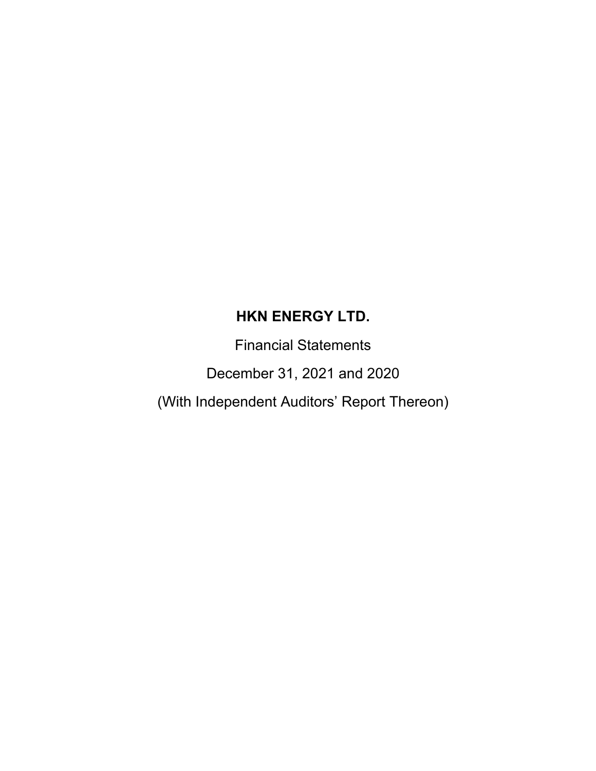Financial Statements

December 31, 2021 and 2020

(With Independent Auditors' Report Thereon)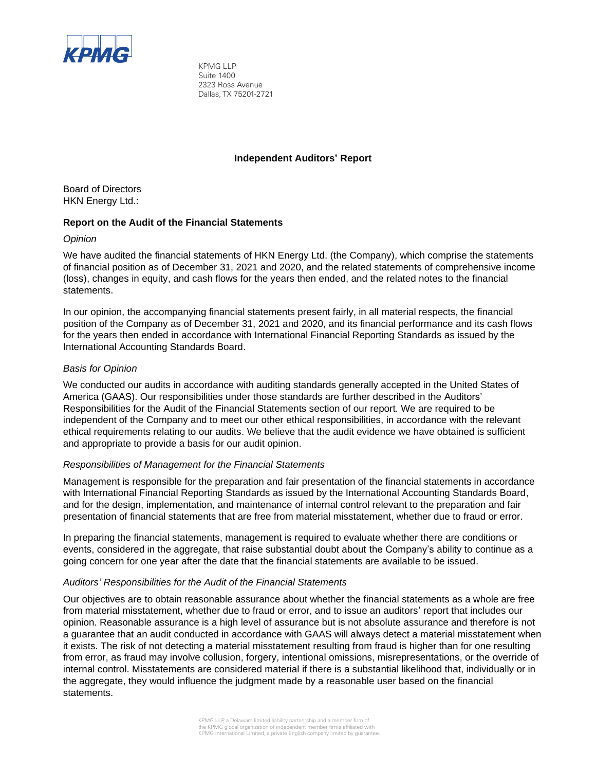

KPMG LLP Suite 1400 2323 Ross Avenue Dallas, TX 75201-2721

#### **Independent Auditors' Report**

Board of Directors HKN Energy Ltd.:

#### **Report on the Audit of the Financial Statements**

#### *Opinion*

We have audited the financial statements of HKN Energy Ltd. (the Company), which comprise the statements of financial position as of December 31, 2021 and 2020, and the related statements of comprehensive income (loss), changes in equity, and cash flows for the years then ended, and the related notes to the financial statements.

In our opinion, the accompanying financial statements present fairly, in all material respects, the financial position of the Company as of December 31, 2021 and 2020, and its financial performance and its cash flows for the years then ended in accordance with International Financial Reporting Standards as issued by the International Accounting Standards Board.

#### *Basis for Opinion*

We conducted our audits in accordance with auditing standards generally accepted in the United States of America (GAAS). Our responsibilities under those standards are further described in the Auditors' Responsibilities for the Audit of the Financial Statements section of our report. We are required to be independent of the Company and to meet our other ethical responsibilities, in accordance with the relevant ethical requirements relating to our audits. We believe that the audit evidence we have obtained is sufficient and appropriate to provide a basis for our audit opinion.

#### *Responsibilities of Management for the Financial Statements*

Management is responsible for the preparation and fair presentation of the financial statements in accordance with International Financial Reporting Standards as issued by the International Accounting Standards Board, and for the design, implementation, and maintenance of internal control relevant to the preparation and fair presentation of financial statements that are free from material misstatement, whether due to fraud or error.

In preparing the financial statements, management is required to evaluate whether there are conditions or events, considered in the aggregate, that raise substantial doubt about the Company's ability to continue as a going concern for one year after the date that the financial statements are available to be issued.

#### *Auditors' Responsibilities for the Audit of the Financial Statements*

Our objectives are to obtain reasonable assurance about whether the financial statements as a whole are free from material misstatement, whether due to fraud or error, and to issue an auditors' report that includes our opinion. Reasonable assurance is a high level of assurance but is not absolute assurance and therefore is not a guarantee that an audit conducted in accordance with GAAS will always detect a material misstatement when it exists. The risk of not detecting a material misstatement resulting from fraud is higher than for one resulting from error, as fraud may involve collusion, forgery, intentional omissions, misrepresentations, or the override of internal control. Misstatements are considered material if there is a substantial likelihood that, individually or in the aggregate, they would influence the judgment made by a reasonable user based on the financial statements.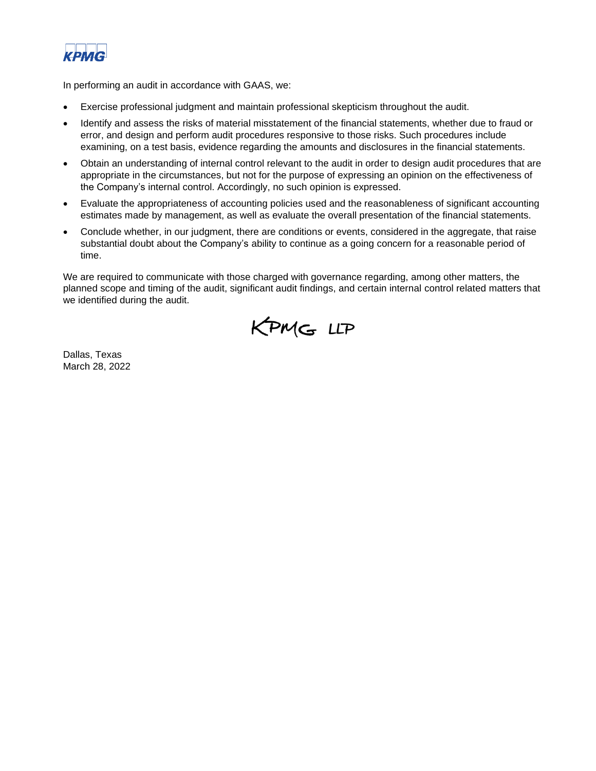

In performing an audit in accordance with GAAS, we:

- Exercise professional judgment and maintain professional skepticism throughout the audit.
- Identify and assess the risks of material misstatement of the financial statements, whether due to fraud or error, and design and perform audit procedures responsive to those risks. Such procedures include examining, on a test basis, evidence regarding the amounts and disclosures in the financial statements.
- Obtain an understanding of internal control relevant to the audit in order to design audit procedures that are appropriate in the circumstances, but not for the purpose of expressing an opinion on the effectiveness of the Company's internal control. Accordingly, no such opinion is expressed.
- Evaluate the appropriateness of accounting policies used and the reasonableness of significant accounting estimates made by management, as well as evaluate the overall presentation of the financial statements.
- Conclude whether, in our judgment, there are conditions or events, considered in the aggregate, that raise substantial doubt about the Company's ability to continue as a going concern for a reasonable period of time.

We are required to communicate with those charged with governance regarding, among other matters, the planned scope and timing of the audit, significant audit findings, and certain internal control related matters that we identified during the audit.



Dallas, Texas March 28, 2022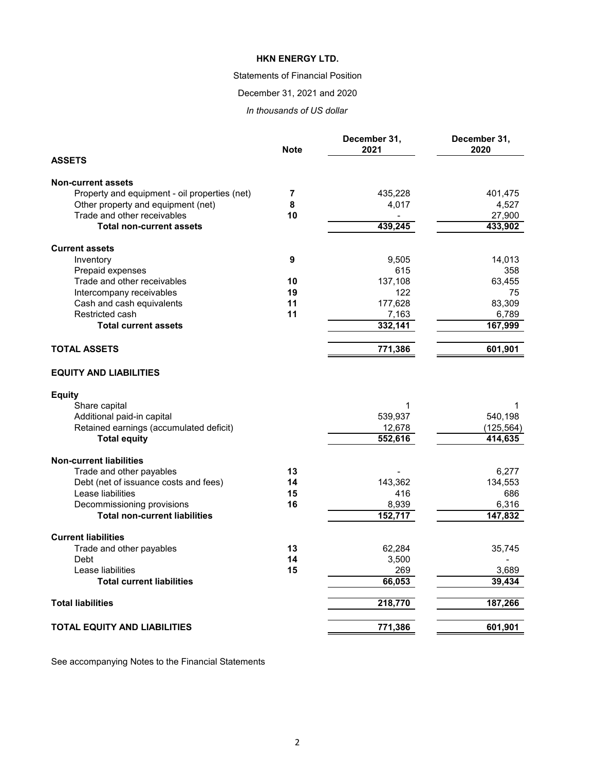#### Statements of Financial Position

December 31, 2021 and 2020

*In thousands of US dollar*

|                                               |             | December 31, | December 31, |
|-----------------------------------------------|-------------|--------------|--------------|
|                                               | <b>Note</b> | 2021         | 2020         |
| <b>ASSETS</b>                                 |             |              |              |
| <b>Non-current assets</b>                     |             |              |              |
| Property and equipment - oil properties (net) | 7           | 435,228      | 401,475      |
| Other property and equipment (net)            | 8           | 4,017        | 4,527        |
| Trade and other receivables                   | 10          |              | 27,900       |
| <b>Total non-current assets</b>               |             | 439,245      | 433,902      |
| <b>Current assets</b>                         |             |              |              |
| Inventory                                     | 9           | 9,505        | 14,013       |
| Prepaid expenses                              |             | 615          | 358          |
| Trade and other receivables                   | 10          | 137,108      | 63,455       |
| Intercompany receivables                      | 19          | 122          | 75           |
| Cash and cash equivalents                     | 11          | 177,628      | 83,309       |
| Restricted cash                               | 11          | 7,163        | 6,789        |
| <b>Total current assets</b>                   |             | 332,141      | 167,999      |
|                                               |             |              |              |
| <b>TOTAL ASSETS</b>                           |             | 771,386      | 601,901      |
| <b>EQUITY AND LIABILITIES</b>                 |             |              |              |
| <b>Equity</b>                                 |             |              |              |
| Share capital                                 |             | 1            | 1            |
| Additional paid-in capital                    |             | 539,937      | 540,198      |
| Retained earnings (accumulated deficit)       |             | 12,678       | (125, 564)   |
| <b>Total equity</b>                           |             | 552,616      | 414,635      |
| <b>Non-current liabilities</b>                |             |              |              |
| Trade and other payables                      | 13          |              | 6,277        |
| Debt (net of issuance costs and fees)         | 14          | 143,362      | 134,553      |
| Lease liabilities                             | 15          | 416          | 686          |
| Decommissioning provisions                    | 16          | 8,939        | 6,316        |
| <b>Total non-current liabilities</b>          |             | 152,717      | 147,832      |
| <b>Current liabilities</b>                    |             |              |              |
| Trade and other payables                      | 13          | 62,284       | 35,745       |
| Debt                                          | 14          | 3,500        |              |
| Lease liabilities                             | 15          | 269          | 3,689        |
| <b>Total current liabilities</b>              |             | 66,053       | 39,434       |
|                                               |             |              |              |
| <b>Total liabilities</b>                      |             | 218,770      | 187,266      |
| <b>TOTAL EQUITY AND LIABILITIES</b>           |             | 771,386      | 601,901      |
|                                               |             |              |              |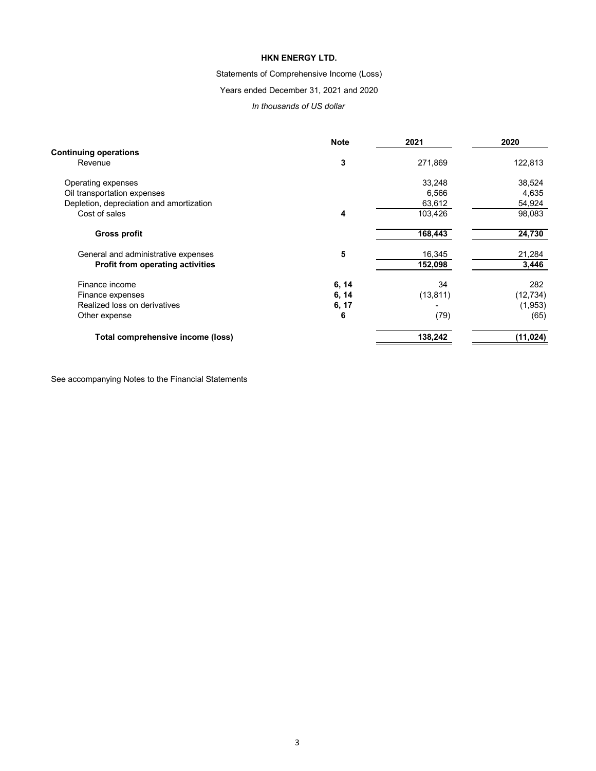# Statements of Comprehensive Income (Loss)

Years ended December 31, 2021 and 2020

## *In thousands of US dollar*

| <b>Note</b> | 2021      | 2020      |
|-------------|-----------|-----------|
|             |           |           |
| 3           | 271,869   | 122,813   |
|             | 33,248    | 38,524    |
|             | 6,566     | 4,635     |
|             | 63,612    | 54,924    |
| 4           | 103,426   | 98,083    |
|             | 168,443   | 24,730    |
| 5           | 16,345    | 21,284    |
|             | 152,098   | 3,446     |
| 6, 14       | 34        | 282       |
| 6, 14       | (13, 811) | (12, 734) |
| 6, 17       |           | (1,953)   |
| 6           | (79)      | (65)      |
|             | 138,242   | (11, 024) |
|             |           |           |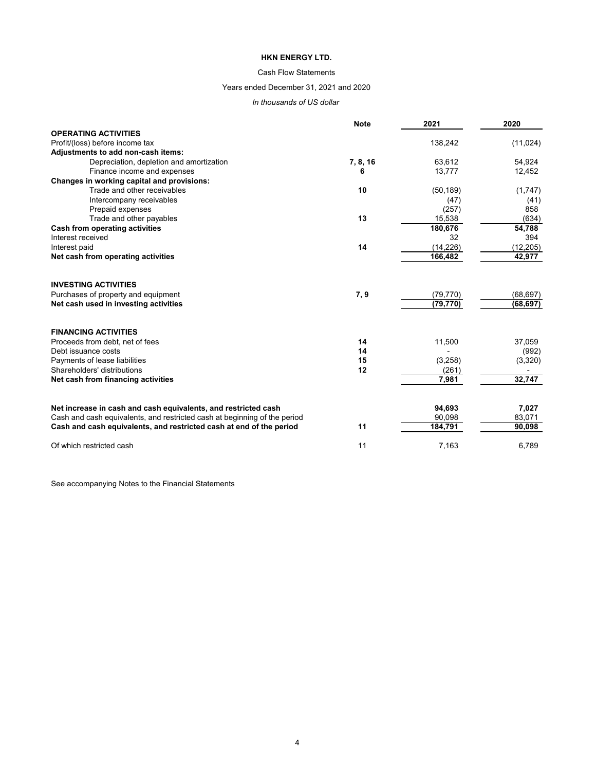#### Cash Flow Statements

## Years ended December 31, 2021 and 2020

## *In thousands of US dollar*

|                                                                           | <b>Note</b> | 2021      | 2020      |
|---------------------------------------------------------------------------|-------------|-----------|-----------|
| <b>OPERATING ACTIVITIES</b>                                               |             |           |           |
| Profit/(loss) before income tax                                           |             | 138,242   | (11, 024) |
| Adjustments to add non-cash items:                                        |             |           |           |
| Depreciation, depletion and amortization                                  | 7, 8, 16    | 63,612    | 54,924    |
| Finance income and expenses                                               | 6           | 13,777    | 12,452    |
| Changes in working capital and provisions:                                |             |           |           |
| Trade and other receivables                                               | 10          | (50, 189) | (1,747)   |
| Intercompany receivables                                                  |             | (47)      | (41)      |
| Prepaid expenses                                                          |             | (257)     | 858       |
| Trade and other payables                                                  | 13          | 15,538    | (634)     |
| Cash from operating activities                                            |             | 180,676   | 54,788    |
| Interest received                                                         |             | 32        | 394       |
| Interest paid                                                             | 14          | (14, 226) | (12, 205) |
| Net cash from operating activities                                        |             | 166,482   | 42,977    |
| <b>INVESTING ACTIVITIES</b>                                               |             |           |           |
| Purchases of property and equipment                                       | 7,9         | (79, 770) | (68, 697) |
| Net cash used in investing activities                                     |             | (79, 770) | (68, 697) |
| <b>FINANCING ACTIVITIES</b>                                               |             |           |           |
| Proceeds from debt, net of fees                                           | 14          | 11,500    | 37,059    |
| Debt issuance costs                                                       | 14          |           | (992)     |
| Payments of lease liabilities                                             | 15          | (3,258)   | (3,320)   |
| Shareholders' distributions                                               | 12          | (261)     |           |
| Net cash from financing activities                                        |             | 7,981     | 32.747    |
|                                                                           |             |           |           |
| Net increase in cash and cash equivalents, and restricted cash            |             | 94,693    | 7,027     |
| Cash and cash equivalents, and restricted cash at beginning of the period |             | 90,098    | 83,071    |
| Cash and cash equivalents, and restricted cash at end of the period       | 11          | 184,791   | 90,098    |
| Of which restricted cash                                                  | 11          | 7,163     | 6,789     |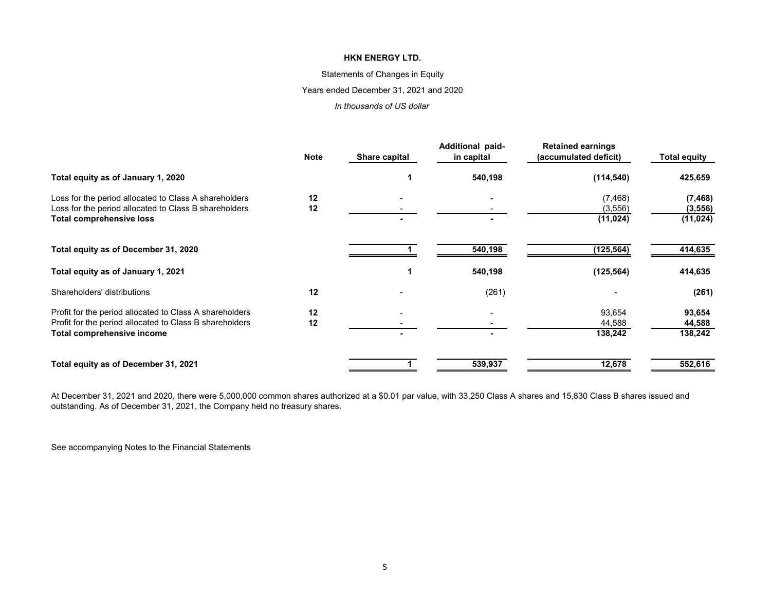## Statements of Changes in Equity

#### Years ended December 31, 2021 and 2020

#### *In thousands of US dollar*

|                                                         | <b>Note</b> | <b>Share capital</b> | Additional paid-<br>in capital | <b>Retained earnings</b><br>(accumulated deficit) | <b>Total equity</b> |
|---------------------------------------------------------|-------------|----------------------|--------------------------------|---------------------------------------------------|---------------------|
| Total equity as of January 1, 2020                      |             |                      | 540,198                        | (114, 540)                                        | 425,659             |
| Loss for the period allocated to Class A shareholders   | 12          |                      |                                | (7, 468)                                          | (7, 468)            |
| Loss for the period allocated to Class B shareholders   | 12          |                      |                                | (3, 556)                                          | (3, 556)            |
| <b>Total comprehensive loss</b>                         |             |                      |                                | (11, 024)                                         | (11, 024)           |
| Total equity as of December 31, 2020                    |             |                      | 540,198                        | (125, 564)                                        | 414,635             |
| Total equity as of January 1, 2021                      |             |                      | 540,198                        | (125, 564)                                        | 414,635             |
| Shareholders' distributions                             | $12 \,$     |                      | (261)                          |                                                   | (261)               |
| Profit for the period allocated to Class A shareholders | 12          |                      |                                | 93,654                                            | 93,654              |
| Profit for the period allocated to Class B shareholders | 12          |                      |                                | 44,588                                            | 44,588              |
| Total comprehensive income                              |             |                      |                                | 138,242                                           | 138,242             |
| Total equity as of December 31, 2021                    |             |                      | 539,937                        | 12,678                                            | 552,616             |

At December 31, 2021 and 2020, there were 5,000,000 common shares authorized at a \$0.01 par value, with 33,250 Class A shares and 15,830 Class B shares issued and outstanding. As of December 31, 2021, the Company held no treasury shares.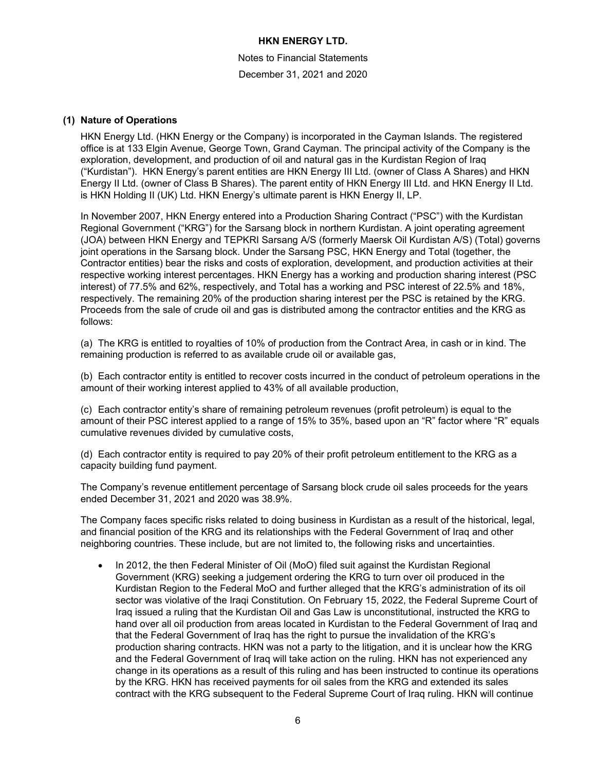Notes to Financial Statements December 31, 2021 and 2020

## **(1) Nature of Operations**

HKN Energy Ltd. (HKN Energy or the Company) is incorporated in the Cayman Islands. The registered office is at 133 Elgin Avenue, George Town, Grand Cayman. The principal activity of the Company is the exploration, development, and production of oil and natural gas in the Kurdistan Region of Iraq ("Kurdistan"). HKN Energy's parent entities are HKN Energy III Ltd. (owner of Class A Shares) and HKN Energy II Ltd. (owner of Class B Shares). The parent entity of HKN Energy III Ltd. and HKN Energy II Ltd. is HKN Holding II (UK) Ltd. HKN Energy's ultimate parent is HKN Energy II, LP.

In November 2007, HKN Energy entered into a Production Sharing Contract ("PSC") with the Kurdistan Regional Government ("KRG") for the Sarsang block in northern Kurdistan. A joint operating agreement (JOA) between HKN Energy and TEPKRI Sarsang A/S (formerly Maersk Oil Kurdistan A/S) (Total) governs joint operations in the Sarsang block. Under the Sarsang PSC, HKN Energy and Total (together, the Contractor entities) bear the risks and costs of exploration, development, and production activities at their respective working interest percentages. HKN Energy has a working and production sharing interest (PSC interest) of 77.5% and 62%, respectively, and Total has a working and PSC interest of 22.5% and 18%, respectively. The remaining 20% of the production sharing interest per the PSC is retained by the KRG. Proceeds from the sale of crude oil and gas is distributed among the contractor entities and the KRG as follows:

(a) The KRG is entitled to royalties of 10% of production from the Contract Area, in cash or in kind. The remaining production is referred to as available crude oil or available gas,

(b) Each contractor entity is entitled to recover costs incurred in the conduct of petroleum operations in the amount of their working interest applied to 43% of all available production,

(c) Each contractor entity's share of remaining petroleum revenues (profit petroleum) is equal to the amount of their PSC interest applied to a range of 15% to 35%, based upon an "R" factor where "R" equals cumulative revenues divided by cumulative costs,

(d) Each contractor entity is required to pay 20% of their profit petroleum entitlement to the KRG as a capacity building fund payment.

The Company's revenue entitlement percentage of Sarsang block crude oil sales proceeds for the years ended December 31, 2021 and 2020 was 38.9%.

The Company faces specific risks related to doing business in Kurdistan as a result of the historical, legal, and financial position of the KRG and its relationships with the Federal Government of Iraq and other neighboring countries. These include, but are not limited to, the following risks and uncertainties.

• In 2012, the then Federal Minister of Oil (MoO) filed suit against the Kurdistan Regional Government (KRG) seeking a judgement ordering the KRG to turn over oil produced in the Kurdistan Region to the Federal MoO and further alleged that the KRG's administration of its oil sector was violative of the Iraqi Constitution. On February 15, 2022, the Federal Supreme Court of Iraq issued a ruling that the Kurdistan Oil and Gas Law is unconstitutional, instructed the KRG to hand over all oil production from areas located in Kurdistan to the Federal Government of Iraq and that the Federal Government of Iraq has the right to pursue the invalidation of the KRG's production sharing contracts. HKN was not a party to the litigation, and it is unclear how the KRG and the Federal Government of Iraq will take action on the ruling. HKN has not experienced any change in its operations as a result of this ruling and has been instructed to continue its operations by the KRG. HKN has received payments for oil sales from the KRG and extended its sales contract with the KRG subsequent to the Federal Supreme Court of Iraq ruling. HKN will continue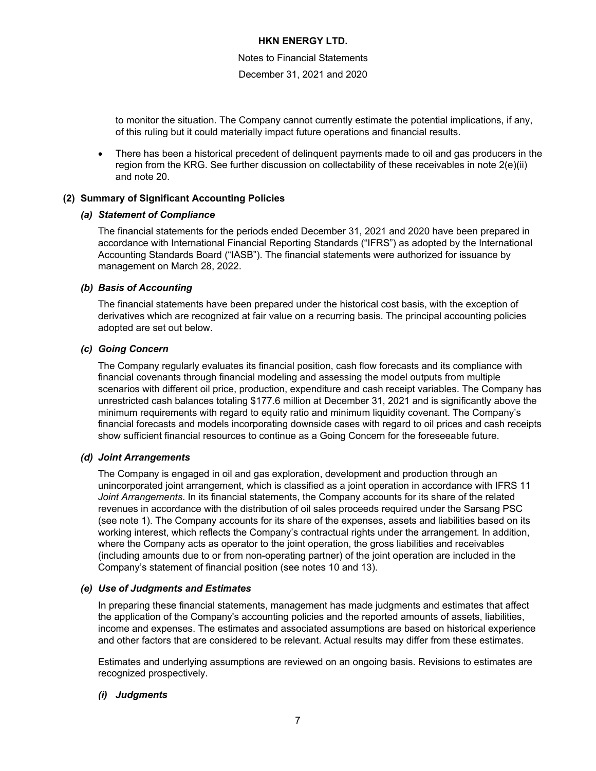Notes to Financial Statements December 31, 2021 and 2020

to monitor the situation. The Company cannot currently estimate the potential implications, if any, of this ruling but it could materially impact future operations and financial results.

• There has been a historical precedent of delinquent payments made to oil and gas producers in the region from the KRG. See further discussion on collectability of these receivables in note 2(e)(ii) and note 20.

## **(2) Summary of Significant Accounting Policies**

#### *(a) Statement of Compliance*

The financial statements for the periods ended December 31, 2021 and 2020 have been prepared in accordance with International Financial Reporting Standards ("IFRS") as adopted by the International Accounting Standards Board ("IASB"). The financial statements were authorized for issuance by management on March 28, 2022.

## *(b) Basis of Accounting*

The financial statements have been prepared under the historical cost basis, with the exception of derivatives which are recognized at fair value on a recurring basis. The principal accounting policies adopted are set out below.

## *(c) Going Concern*

The Company regularly evaluates its financial position, cash flow forecasts and its compliance with financial covenants through financial modeling and assessing the model outputs from multiple scenarios with different oil price, production, expenditure and cash receipt variables. The Company has unrestricted cash balances totaling \$177.6 million at December 31, 2021 and is significantly above the minimum requirements with regard to equity ratio and minimum liquidity covenant. The Company's financial forecasts and models incorporating downside cases with regard to oil prices and cash receipts show sufficient financial resources to continue as a Going Concern for the foreseeable future.

## *(d) Joint Arrangements*

The Company is engaged in oil and gas exploration, development and production through an unincorporated joint arrangement, which is classified as a joint operation in accordance with IFRS 11 *Joint Arrangements*. In its financial statements, the Company accounts for its share of the related revenues in accordance with the distribution of oil sales proceeds required under the Sarsang PSC (see note 1). The Company accounts for its share of the expenses, assets and liabilities based on its working interest, which reflects the Company's contractual rights under the arrangement. In addition, where the Company acts as operator to the joint operation, the gross liabilities and receivables (including amounts due to or from non-operating partner) of the joint operation are included in the Company's statement of financial position (see notes 10 and 13).

## *(e) Use of Judgments and Estimates*

In preparing these financial statements, management has made judgments and estimates that affect the application of the Company's accounting policies and the reported amounts of assets, liabilities, income and expenses. The estimates and associated assumptions are based on historical experience and other factors that are considered to be relevant. Actual results may differ from these estimates.

Estimates and underlying assumptions are reviewed on an ongoing basis. Revisions to estimates are recognized prospectively.

## *(i) Judgments*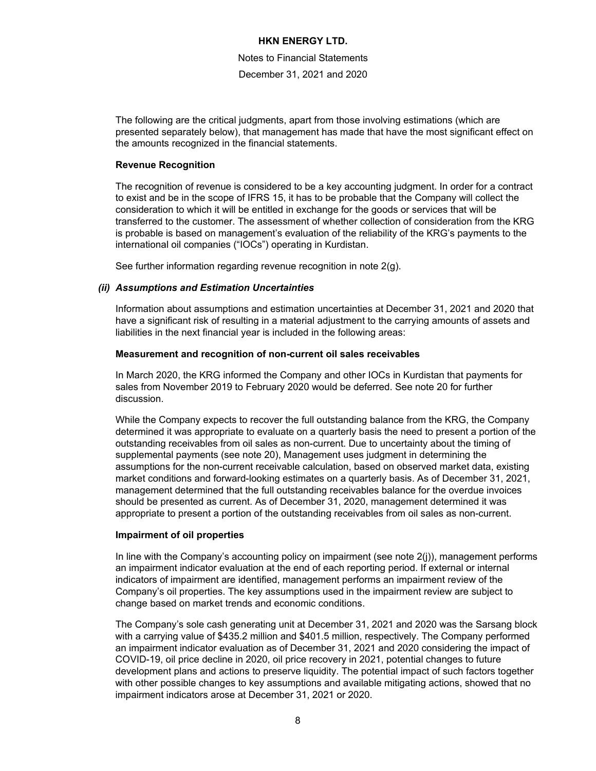Notes to Financial Statements December 31, 2021 and 2020

The following are the critical judgments, apart from those involving estimations (which are presented separately below), that management has made that have the most significant effect on the amounts recognized in the financial statements.

#### **Revenue Recognition**

The recognition of revenue is considered to be a key accounting judgment. In order for a contract to exist and be in the scope of IFRS 15, it has to be probable that the Company will collect the consideration to which it will be entitled in exchange for the goods or services that will be transferred to the customer. The assessment of whether collection of consideration from the KRG is probable is based on management's evaluation of the reliability of the KRG's payments to the international oil companies ("IOCs") operating in Kurdistan.

See further information regarding revenue recognition in note 2(g).

## *(ii) Assumptions and Estimation Uncertainties*

Information about assumptions and estimation uncertainties at December 31, 2021 and 2020 that have a significant risk of resulting in a material adjustment to the carrying amounts of assets and liabilities in the next financial year is included in the following areas:

## **Measurement and recognition of non-current oil sales receivables**

In March 2020, the KRG informed the Company and other IOCs in Kurdistan that payments for sales from November 2019 to February 2020 would be deferred. See note 20 for further discussion.

While the Company expects to recover the full outstanding balance from the KRG, the Company determined it was appropriate to evaluate on a quarterly basis the need to present a portion of the outstanding receivables from oil sales as non-current. Due to uncertainty about the timing of supplemental payments (see note 20), Management uses judgment in determining the assumptions for the non-current receivable calculation, based on observed market data, existing market conditions and forward-looking estimates on a quarterly basis. As of December 31, 2021, management determined that the full outstanding receivables balance for the overdue invoices should be presented as current. As of December 31, 2020, management determined it was appropriate to present a portion of the outstanding receivables from oil sales as non-current.

## **Impairment of oil properties**

In line with the Company's accounting policy on impairment (see note  $2(j)$ ), management performs an impairment indicator evaluation at the end of each reporting period. If external or internal indicators of impairment are identified, management performs an impairment review of the Company's oil properties. The key assumptions used in the impairment review are subject to change based on market trends and economic conditions.

The Company's sole cash generating unit at December 31, 2021 and 2020 was the Sarsang block with a carrying value of \$435.2 million and \$401.5 million, respectively. The Company performed an impairment indicator evaluation as of December 31, 2021 and 2020 considering the impact of COVID-19, oil price decline in 2020, oil price recovery in 2021, potential changes to future development plans and actions to preserve liquidity. The potential impact of such factors together with other possible changes to key assumptions and available mitigating actions, showed that no impairment indicators arose at December 31, 2021 or 2020.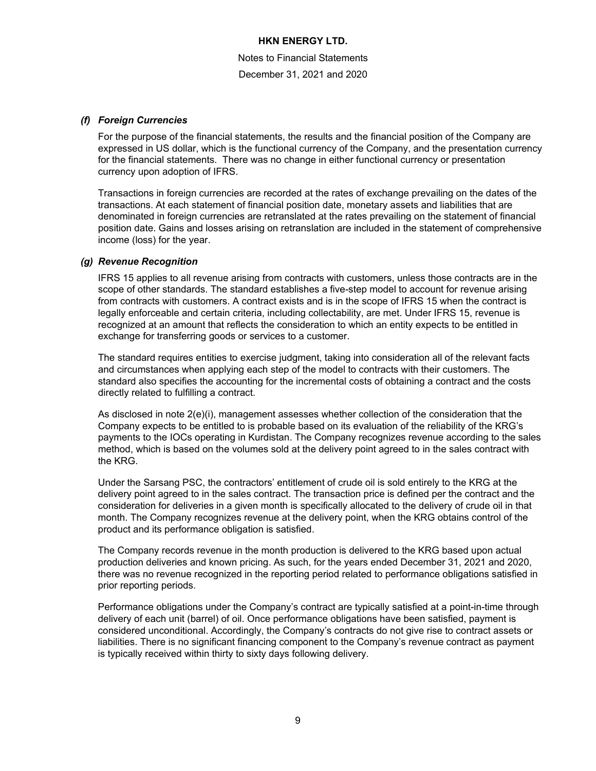Notes to Financial Statements December 31, 2021 and 2020

#### *(f) Foreign Currencies*

For the purpose of the financial statements, the results and the financial position of the Company are expressed in US dollar, which is the functional currency of the Company, and the presentation currency for the financial statements. There was no change in either functional currency or presentation currency upon adoption of IFRS.

Transactions in foreign currencies are recorded at the rates of exchange prevailing on the dates of the transactions. At each statement of financial position date, monetary assets and liabilities that are denominated in foreign currencies are retranslated at the rates prevailing on the statement of financial position date. Gains and losses arising on retranslation are included in the statement of comprehensive income (loss) for the year.

## *(g) Revenue Recognition*

IFRS 15 applies to all revenue arising from contracts with customers, unless those contracts are in the scope of other standards. The standard establishes a five-step model to account for revenue arising from contracts with customers. A contract exists and is in the scope of IFRS 15 when the contract is legally enforceable and certain criteria, including collectability, are met. Under IFRS 15, revenue is recognized at an amount that reflects the consideration to which an entity expects to be entitled in exchange for transferring goods or services to a customer.

The standard requires entities to exercise judgment, taking into consideration all of the relevant facts and circumstances when applying each step of the model to contracts with their customers. The standard also specifies the accounting for the incremental costs of obtaining a contract and the costs directly related to fulfilling a contract.

As disclosed in note 2(e)(i), management assesses whether collection of the consideration that the Company expects to be entitled to is probable based on its evaluation of the reliability of the KRG's payments to the IOCs operating in Kurdistan. The Company recognizes revenue according to the sales method, which is based on the volumes sold at the delivery point agreed to in the sales contract with the KRG.

Under the Sarsang PSC, the contractors' entitlement of crude oil is sold entirely to the KRG at the delivery point agreed to in the sales contract. The transaction price is defined per the contract and the consideration for deliveries in a given month is specifically allocated to the delivery of crude oil in that month. The Company recognizes revenue at the delivery point, when the KRG obtains control of the product and its performance obligation is satisfied.

The Company records revenue in the month production is delivered to the KRG based upon actual production deliveries and known pricing. As such, for the years ended December 31, 2021 and 2020, there was no revenue recognized in the reporting period related to performance obligations satisfied in prior reporting periods.

Performance obligations under the Company's contract are typically satisfied at a point-in-time through delivery of each unit (barrel) of oil. Once performance obligations have been satisfied, payment is considered unconditional. Accordingly, the Company's contracts do not give rise to contract assets or liabilities. There is no significant financing component to the Company's revenue contract as payment is typically received within thirty to sixty days following delivery.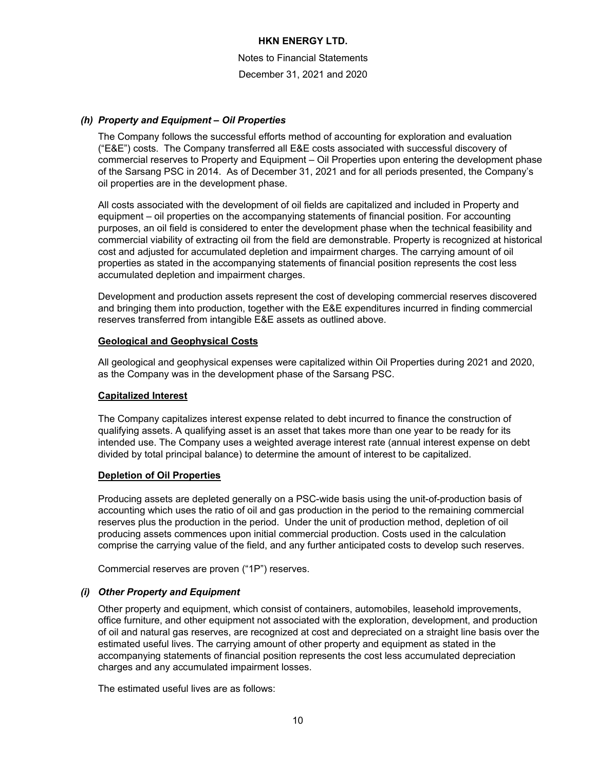Notes to Financial Statements December 31, 2021 and 2020

## *(h) Property and Equipment – Oil Properties*

The Company follows the successful efforts method of accounting for exploration and evaluation ("E&E") costs. The Company transferred all E&E costs associated with successful discovery of commercial reserves to Property and Equipment – Oil Properties upon entering the development phase of the Sarsang PSC in 2014. As of December 31, 2021 and for all periods presented, the Company's oil properties are in the development phase.

All costs associated with the development of oil fields are capitalized and included in Property and equipment – oil properties on the accompanying statements of financial position. For accounting purposes, an oil field is considered to enter the development phase when the technical feasibility and commercial viability of extracting oil from the field are demonstrable. Property is recognized at historical cost and adjusted for accumulated depletion and impairment charges. The carrying amount of oil properties as stated in the accompanying statements of financial position represents the cost less accumulated depletion and impairment charges.

Development and production assets represent the cost of developing commercial reserves discovered and bringing them into production, together with the E&E expenditures incurred in finding commercial reserves transferred from intangible E&E assets as outlined above.

## **Geological and Geophysical Costs**

All geological and geophysical expenses were capitalized within Oil Properties during 2021 and 2020, as the Company was in the development phase of the Sarsang PSC.

## **Capitalized Interest**

The Company capitalizes interest expense related to debt incurred to finance the construction of qualifying assets. A qualifying asset is an asset that takes more than one year to be ready for its intended use. The Company uses a weighted average interest rate (annual interest expense on debt divided by total principal balance) to determine the amount of interest to be capitalized.

#### **Depletion of Oil Properties**

Producing assets are depleted generally on a PSC-wide basis using the unit-of-production basis of accounting which uses the ratio of oil and gas production in the period to the remaining commercial reserves plus the production in the period. Under the unit of production method, depletion of oil producing assets commences upon initial commercial production. Costs used in the calculation comprise the carrying value of the field, and any further anticipated costs to develop such reserves.

Commercial reserves are proven ("1P") reserves.

## *(i) Other Property and Equipment*

Other property and equipment, which consist of containers, automobiles, leasehold improvements, office furniture, and other equipment not associated with the exploration, development, and production of oil and natural gas reserves, are recognized at cost and depreciated on a straight line basis over the estimated useful lives. The carrying amount of other property and equipment as stated in the accompanying statements of financial position represents the cost less accumulated depreciation charges and any accumulated impairment losses.

The estimated useful lives are as follows: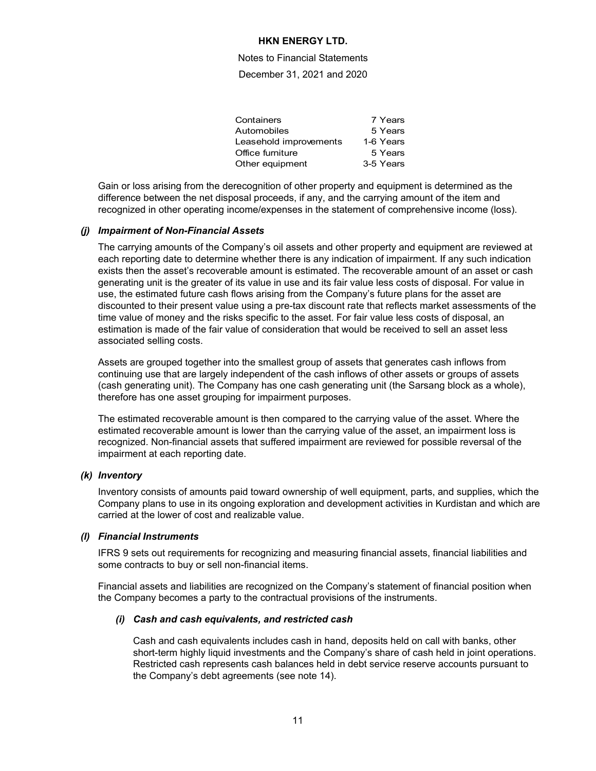Notes to Financial Statements

December 31, 2021 and 2020

| 7 Years   |
|-----------|
| 5 Years   |
| 1-6 Years |
| 5 Years   |
| 3-5 Years |
|           |

Gain or loss arising from the derecognition of other property and equipment is determined as the difference between the net disposal proceeds, if any, and the carrying amount of the item and recognized in other operating income/expenses in the statement of comprehensive income (loss).

## *(j) Impairment of Non-Financial Assets*

The carrying amounts of the Company's oil assets and other property and equipment are reviewed at each reporting date to determine whether there is any indication of impairment. If any such indication exists then the asset's recoverable amount is estimated. The recoverable amount of an asset or cash generating unit is the greater of its value in use and its fair value less costs of disposal. For value in use, the estimated future cash flows arising from the Company's future plans for the asset are discounted to their present value using a pre-tax discount rate that reflects market assessments of the time value of money and the risks specific to the asset. For fair value less costs of disposal, an estimation is made of the fair value of consideration that would be received to sell an asset less associated selling costs.

Assets are grouped together into the smallest group of assets that generates cash inflows from continuing use that are largely independent of the cash inflows of other assets or groups of assets (cash generating unit). The Company has one cash generating unit (the Sarsang block as a whole), therefore has one asset grouping for impairment purposes.

The estimated recoverable amount is then compared to the carrying value of the asset. Where the estimated recoverable amount is lower than the carrying value of the asset, an impairment loss is recognized. Non-financial assets that suffered impairment are reviewed for possible reversal of the impairment at each reporting date.

#### *(k) Inventory*

Inventory consists of amounts paid toward ownership of well equipment, parts, and supplies, which the Company plans to use in its ongoing exploration and development activities in Kurdistan and which are carried at the lower of cost and realizable value.

#### *(l) Financial Instruments*

IFRS 9 sets out requirements for recognizing and measuring financial assets, financial liabilities and some contracts to buy or sell non-financial items.

Financial assets and liabilities are recognized on the Company's statement of financial position when the Company becomes a party to the contractual provisions of the instruments.

#### *(i) Cash and cash equivalents, and restricted cash*

Cash and cash equivalents includes cash in hand, deposits held on call with banks, other short-term highly liquid investments and the Company's share of cash held in joint operations. Restricted cash represents cash balances held in debt service reserve accounts pursuant to the Company's debt agreements (see note 14).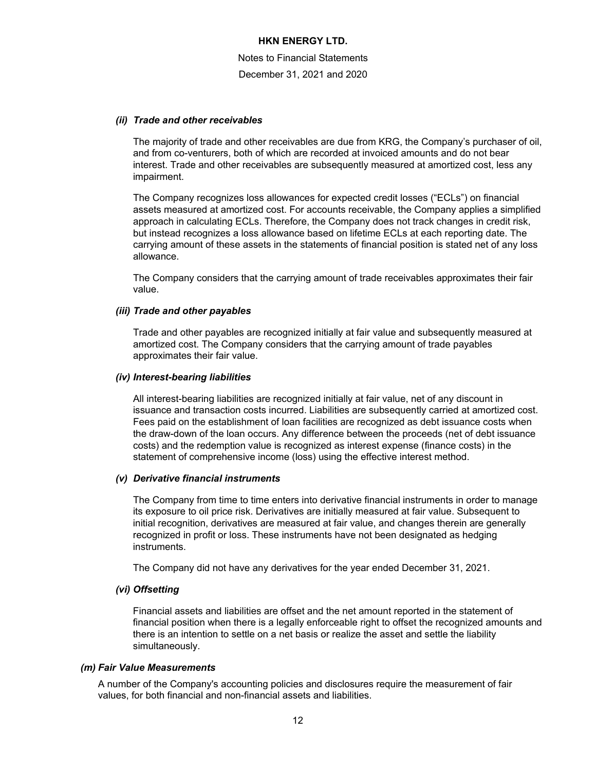Notes to Financial Statements December 31, 2021 and 2020

#### *(ii) Trade and other receivables*

The majority of trade and other receivables are due from KRG, the Company's purchaser of oil, and from co-venturers, both of which are recorded at invoiced amounts and do not bear interest. Trade and other receivables are subsequently measured at amortized cost, less any impairment.

The Company recognizes loss allowances for expected credit losses ("ECLs") on financial assets measured at amortized cost. For accounts receivable, the Company applies a simplified approach in calculating ECLs. Therefore, the Company does not track changes in credit risk, but instead recognizes a loss allowance based on lifetime ECLs at each reporting date. The carrying amount of these assets in the statements of financial position is stated net of any loss allowance.

The Company considers that the carrying amount of trade receivables approximates their fair value.

#### *(iii) Trade and other payables*

Trade and other payables are recognized initially at fair value and subsequently measured at amortized cost. The Company considers that the carrying amount of trade payables approximates their fair value.

#### *(iv) Interest-bearing liabilities*

All interest-bearing liabilities are recognized initially at fair value, net of any discount in issuance and transaction costs incurred. Liabilities are subsequently carried at amortized cost. Fees paid on the establishment of loan facilities are recognized as debt issuance costs when the draw-down of the loan occurs. Any difference between the proceeds (net of debt issuance costs) and the redemption value is recognized as interest expense (finance costs) in the statement of comprehensive income (loss) using the effective interest method.

#### *(v) Derivative financial instruments*

The Company from time to time enters into derivative financial instruments in order to manage its exposure to oil price risk. Derivatives are initially measured at fair value. Subsequent to initial recognition, derivatives are measured at fair value, and changes therein are generally recognized in profit or loss. These instruments have not been designated as hedging instruments.

The Company did not have any derivatives for the year ended December 31, 2021.

## *(vi) Offsetting*

Financial assets and liabilities are offset and the net amount reported in the statement of financial position when there is a legally enforceable right to offset the recognized amounts and there is an intention to settle on a net basis or realize the asset and settle the liability simultaneously.

#### *(m) Fair Value Measurements*

A number of the Company's accounting policies and disclosures require the measurement of fair values, for both financial and non-financial assets and liabilities.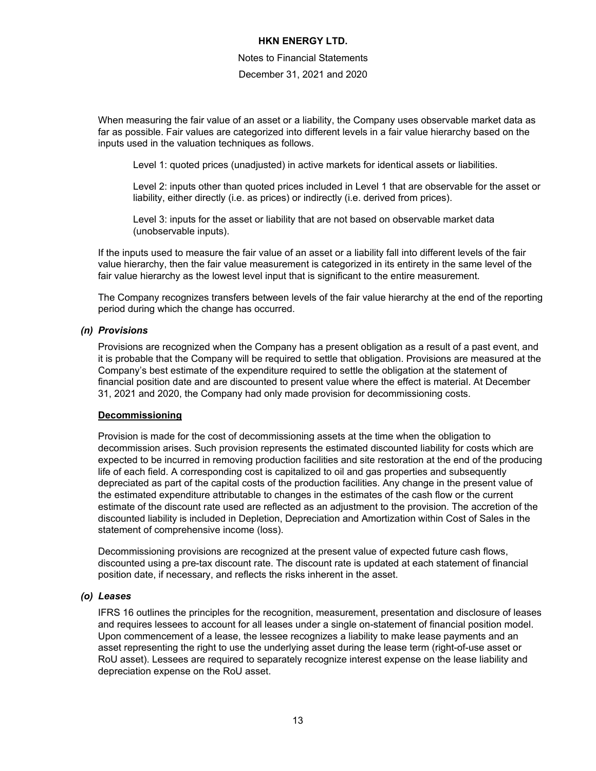Notes to Financial Statements December 31, 2021 and 2020

When measuring the fair value of an asset or a liability, the Company uses observable market data as far as possible. Fair values are categorized into different levels in a fair value hierarchy based on the inputs used in the valuation techniques as follows.

Level 1: quoted prices (unadjusted) in active markets for identical assets or liabilities.

Level 2: inputs other than quoted prices included in Level 1 that are observable for the asset or liability, either directly (i.e. as prices) or indirectly (i.e. derived from prices).

Level 3: inputs for the asset or liability that are not based on observable market data (unobservable inputs).

If the inputs used to measure the fair value of an asset or a liability fall into different levels of the fair value hierarchy, then the fair value measurement is categorized in its entirety in the same level of the fair value hierarchy as the lowest level input that is significant to the entire measurement.

The Company recognizes transfers between levels of the fair value hierarchy at the end of the reporting period during which the change has occurred.

## *(n) Provisions*

Provisions are recognized when the Company has a present obligation as a result of a past event, and it is probable that the Company will be required to settle that obligation. Provisions are measured at the Company's best estimate of the expenditure required to settle the obligation at the statement of financial position date and are discounted to present value where the effect is material. At December 31, 2021 and 2020, the Company had only made provision for decommissioning costs.

## **Decommissioning**

Provision is made for the cost of decommissioning assets at the time when the obligation to decommission arises. Such provision represents the estimated discounted liability for costs which are expected to be incurred in removing production facilities and site restoration at the end of the producing life of each field. A corresponding cost is capitalized to oil and gas properties and subsequently depreciated as part of the capital costs of the production facilities. Any change in the present value of the estimated expenditure attributable to changes in the estimates of the cash flow or the current estimate of the discount rate used are reflected as an adjustment to the provision. The accretion of the discounted liability is included in Depletion, Depreciation and Amortization within Cost of Sales in the statement of comprehensive income (loss).

Decommissioning provisions are recognized at the present value of expected future cash flows, discounted using a pre-tax discount rate. The discount rate is updated at each statement of financial position date, if necessary, and reflects the risks inherent in the asset.

#### *(o) Leases*

IFRS 16 outlines the principles for the recognition, measurement, presentation and disclosure of leases and requires lessees to account for all leases under a single on-statement of financial position model. Upon commencement of a lease, the lessee recognizes a liability to make lease payments and an asset representing the right to use the underlying asset during the lease term (right-of-use asset or RoU asset). Lessees are required to separately recognize interest expense on the lease liability and depreciation expense on the RoU asset.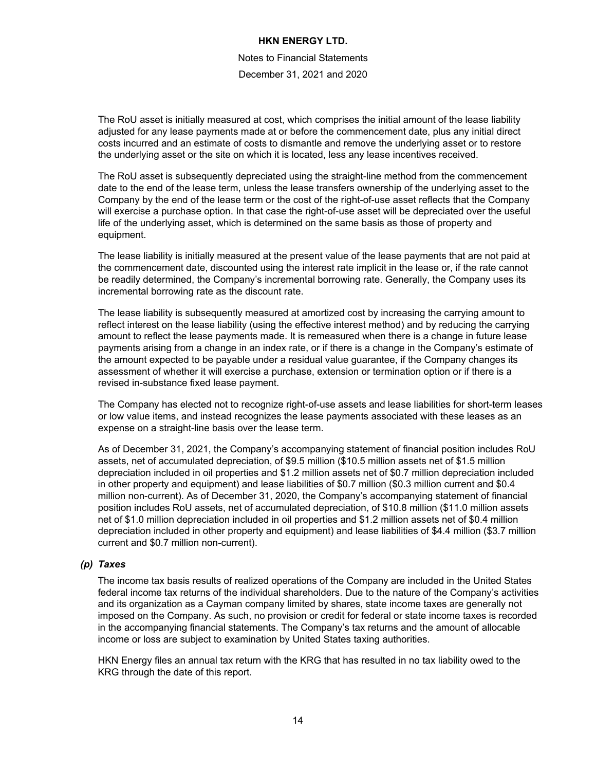Notes to Financial Statements December 31, 2021 and 2020

The RoU asset is initially measured at cost, which comprises the initial amount of the lease liability adjusted for any lease payments made at or before the commencement date, plus any initial direct costs incurred and an estimate of costs to dismantle and remove the underlying asset or to restore the underlying asset or the site on which it is located, less any lease incentives received.

The RoU asset is subsequently depreciated using the straight-line method from the commencement date to the end of the lease term, unless the lease transfers ownership of the underlying asset to the Company by the end of the lease term or the cost of the right-of-use asset reflects that the Company will exercise a purchase option. In that case the right-of-use asset will be depreciated over the useful life of the underlying asset, which is determined on the same basis as those of property and equipment.

The lease liability is initially measured at the present value of the lease payments that are not paid at the commencement date, discounted using the interest rate implicit in the lease or, if the rate cannot be readily determined, the Company's incremental borrowing rate. Generally, the Company uses its incremental borrowing rate as the discount rate.

The lease liability is subsequently measured at amortized cost by increasing the carrying amount to reflect interest on the lease liability (using the effective interest method) and by reducing the carrying amount to reflect the lease payments made. It is remeasured when there is a change in future lease payments arising from a change in an index rate, or if there is a change in the Company's estimate of the amount expected to be payable under a residual value guarantee, if the Company changes its assessment of whether it will exercise a purchase, extension or termination option or if there is a revised in-substance fixed lease payment.

The Company has elected not to recognize right-of-use assets and lease liabilities for short-term leases or low value items, and instead recognizes the lease payments associated with these leases as an expense on a straight-line basis over the lease term.

As of December 31, 2021, the Company's accompanying statement of financial position includes RoU assets, net of accumulated depreciation, of \$9.5 million (\$10.5 million assets net of \$1.5 million depreciation included in oil properties and \$1.2 million assets net of \$0.7 million depreciation included in other property and equipment) and lease liabilities of \$0.7 million (\$0.3 million current and \$0.4 million non-current). As of December 31, 2020, the Company's accompanying statement of financial position includes RoU assets, net of accumulated depreciation, of \$10.8 million (\$11.0 million assets net of \$1.0 million depreciation included in oil properties and \$1.2 million assets net of \$0.4 million depreciation included in other property and equipment) and lease liabilities of \$4.4 million (\$3.7 million current and \$0.7 million non-current).

## *(p) Taxes*

The income tax basis results of realized operations of the Company are included in the United States federal income tax returns of the individual shareholders. Due to the nature of the Company's activities and its organization as a Cayman company limited by shares, state income taxes are generally not imposed on the Company. As such, no provision or credit for federal or state income taxes is recorded in the accompanying financial statements. The Company's tax returns and the amount of allocable income or loss are subject to examination by United States taxing authorities.

HKN Energy files an annual tax return with the KRG that has resulted in no tax liability owed to the KRG through the date of this report.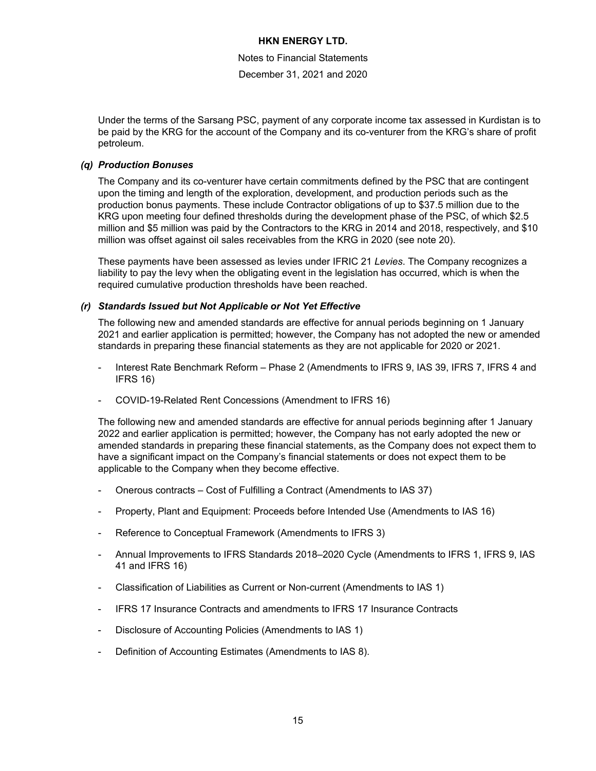Notes to Financial Statements December 31, 2021 and 2020

Under the terms of the Sarsang PSC, payment of any corporate income tax assessed in Kurdistan is to be paid by the KRG for the account of the Company and its co-venturer from the KRG's share of profit petroleum.

## *(q) Production Bonuses*

The Company and its co-venturer have certain commitments defined by the PSC that are contingent upon the timing and length of the exploration, development, and production periods such as the production bonus payments. These include Contractor obligations of up to \$37.5 million due to the KRG upon meeting four defined thresholds during the development phase of the PSC, of which \$2.5 million and \$5 million was paid by the Contractors to the KRG in 2014 and 2018, respectively, and \$10 million was offset against oil sales receivables from the KRG in 2020 (see note 20).

These payments have been assessed as levies under IFRIC 21 *Levies*. The Company recognizes a liability to pay the levy when the obligating event in the legislation has occurred, which is when the required cumulative production thresholds have been reached.

## *(r) Standards Issued but Not Applicable or Not Yet Effective*

The following new and amended standards are effective for annual periods beginning on 1 January 2021 and earlier application is permitted; however, the Company has not adopted the new or amended standards in preparing these financial statements as they are not applicable for 2020 or 2021.

- Interest Rate Benchmark Reform Phase 2 (Amendments to IFRS 9, IAS 39, IFRS 7, IFRS 4 and IFRS 16)
- COVID-19-Related Rent Concessions (Amendment to IFRS 16)

The following new and amended standards are effective for annual periods beginning after 1 January 2022 and earlier application is permitted; however, the Company has not early adopted the new or amended standards in preparing these financial statements, as the Company does not expect them to have a significant impact on the Company's financial statements or does not expect them to be applicable to the Company when they become effective.

- Onerous contracts Cost of Fulfilling a Contract (Amendments to IAS 37)
- Property, Plant and Equipment: Proceeds before Intended Use (Amendments to IAS 16)
- Reference to Conceptual Framework (Amendments to IFRS 3)
- Annual Improvements to IFRS Standards 2018–2020 Cycle (Amendments to IFRS 1, IFRS 9, IAS 41 and IFRS 16)
- Classification of Liabilities as Current or Non-current (Amendments to IAS 1)
- IFRS 17 Insurance Contracts and amendments to IFRS 17 Insurance Contracts
- Disclosure of Accounting Policies (Amendments to IAS 1)
- Definition of Accounting Estimates (Amendments to IAS 8).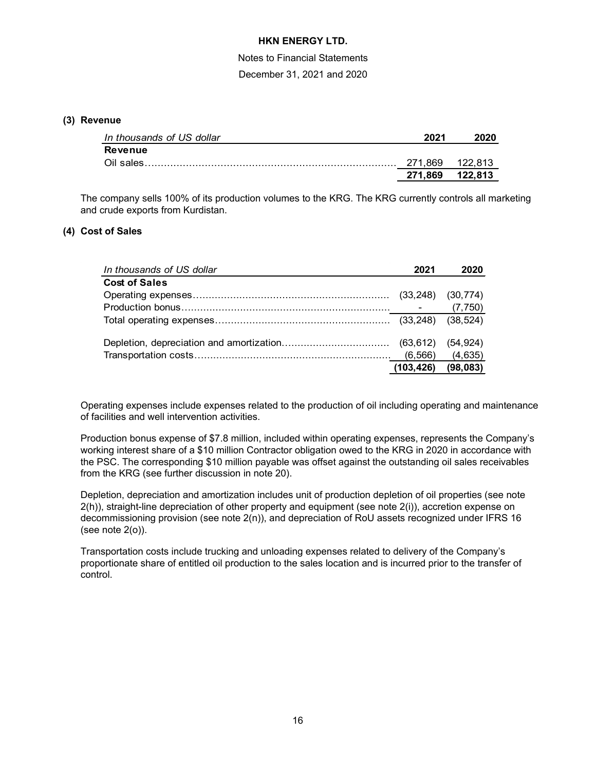## Notes to Financial Statements

December 31, 2021 and 2020

## **(3) Revenue**

| In thousands of US dollar |                 | 2020 |
|---------------------------|-----------------|------|
| <b>Revenue</b>            |                 |      |
|                           | 271.869 122.813 |      |
|                           | 271.869 122.813 |      |

The company sells 100% of its production volumes to the KRG. The KRG currently controls all marketing and crude exports from Kurdistan.

## **(4) Cost of Sales**

| In thousands of US dollar | 2021       | 2020      |
|---------------------------|------------|-----------|
| <b>Cost of Sales</b>      |            |           |
|                           |            | (30, 774) |
|                           |            | (7,750)   |
|                           |            | (38.524)  |
|                           | (63, 612)  | (54, 924) |
|                           | (6, 566)   | (4,635)   |
|                           | (103, 426) | (98,083)  |

Operating expenses include expenses related to the production of oil including operating and maintenance of facilities and well intervention activities.

Production bonus expense of \$7.8 million, included within operating expenses, represents the Company's working interest share of a \$10 million Contractor obligation owed to the KRG in 2020 in accordance with the PSC. The corresponding \$10 million payable was offset against the outstanding oil sales receivables from the KRG (see further discussion in note 20).

Depletion, depreciation and amortization includes unit of production depletion of oil properties (see note 2(h)), straight-line depreciation of other property and equipment (see note 2(i)), accretion expense on decommissioning provision (see note 2(n)), and depreciation of RoU assets recognized under IFRS 16 (see note 2(o)).

Transportation costs include trucking and unloading expenses related to delivery of the Company's proportionate share of entitled oil production to the sales location and is incurred prior to the transfer of control.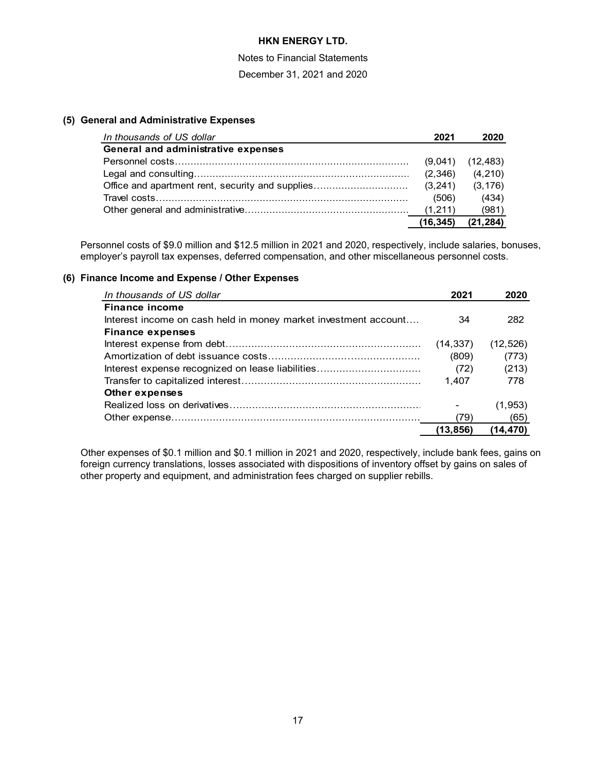Notes to Financial Statements

December 31, 2021 and 2020

## **(5) General and Administrative Expenses**

| In thousands of US dollar                        | 2021     | 2020      |
|--------------------------------------------------|----------|-----------|
| General and administrative expenses              |          |           |
|                                                  | (9.041)  | (12, 483) |
|                                                  | (2,346)  | (4, 210)  |
| Office and apartment rent, security and supplies | (3,241)  | (3, 176)  |
|                                                  | (506)    | (434)     |
|                                                  | (1.211)  | (981)     |
|                                                  | (16.345) | (21, 284) |

Personnel costs of \$9.0 million and \$12.5 million in 2021 and 2020, respectively, include salaries, bonuses, employer's payroll tax expenses, deferred compensation, and other miscellaneous personnel costs.

## **(6) Finance Income and Expense / Other Expenses**

| In thousands of US dollar                                       | 2021     | 2020      |
|-----------------------------------------------------------------|----------|-----------|
| Finance income                                                  |          |           |
| Interest income on cash held in money market investment account | 34       | 282       |
| <b>Finance expenses</b>                                         |          |           |
|                                                                 | (14,337) | (12, 526) |
|                                                                 | (809)    | (773)     |
| Interest expense recognized on lease liabilities                | (72)     | (213)     |
|                                                                 | 1.407    | 778       |
| Other expenses                                                  |          |           |
|                                                                 |          | (1,953)   |
|                                                                 | (79)     | (65)      |
|                                                                 | (13.856) | (14, 470) |

Other expenses of \$0.1 million and \$0.1 million in 2021 and 2020, respectively, include bank fees, gains on foreign currency translations, losses associated with dispositions of inventory offset by gains on sales of other property and equipment, and administration fees charged on supplier rebills.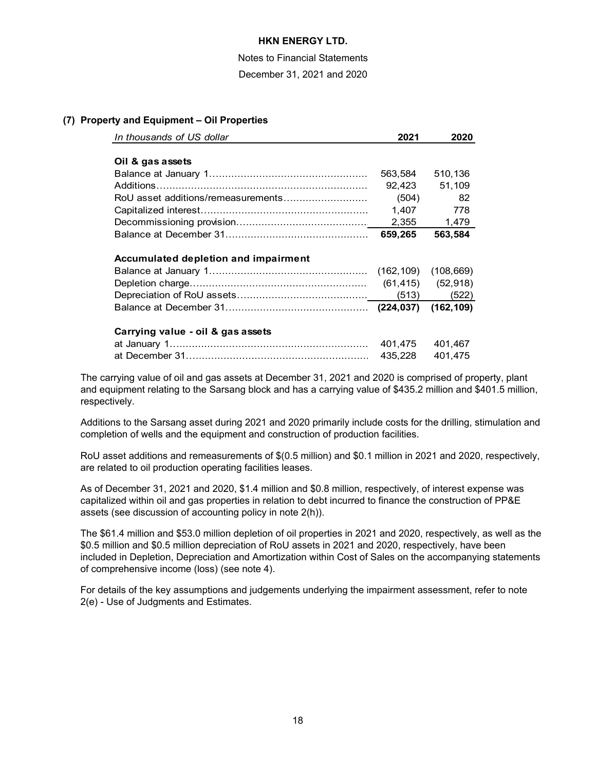Notes to Financial Statements December 31, 2021 and 2020

## **(7) Property and Equipment – Oil Properties**

| In thousands of US dollar            | 2021    | 2020                      |
|--------------------------------------|---------|---------------------------|
|                                      |         |                           |
| Oil & gas assets                     |         |                           |
|                                      | 563,584 | 510,136                   |
|                                      | 92,423  | 51,109                    |
| RoU asset additions/remeasurements   | (504)   | 82                        |
|                                      | 1.407   | 778                       |
|                                      | 2,355   | 1,479                     |
|                                      | 659,265 | 563,584                   |
| Accumulated depletion and impairment |         |                           |
|                                      |         | $(162, 109)$ $(108, 669)$ |
|                                      |         | $(61, 415)$ $(52, 918)$   |
|                                      | (513)   | (522)                     |
|                                      |         | $(224, 037)$ $(162, 109)$ |
| Carrying value - oil & gas assets    |         |                           |
|                                      | 401,475 | 401,467                   |
|                                      | 435.228 | 401,475                   |

The carrying value of oil and gas assets at December 31, 2021 and 2020 is comprised of property, plant and equipment relating to the Sarsang block and has a carrying value of \$435.2 million and \$401.5 million, respectively.

Additions to the Sarsang asset during 2021 and 2020 primarily include costs for the drilling, stimulation and completion of wells and the equipment and construction of production facilities.

RoU asset additions and remeasurements of \$(0.5 million) and \$0.1 million in 2021 and 2020, respectively, are related to oil production operating facilities leases.

As of December 31, 2021 and 2020, \$1.4 million and \$0.8 million, respectively, of interest expense was capitalized within oil and gas properties in relation to debt incurred to finance the construction of PP&E assets (see discussion of accounting policy in note 2(h)).

The \$61.4 million and \$53.0 million depletion of oil properties in 2021 and 2020, respectively, as well as the \$0.5 million and \$0.5 million depreciation of RoU assets in 2021 and 2020, respectively, have been included in Depletion, Depreciation and Amortization within Cost of Sales on the accompanying statements of comprehensive income (loss) (see note 4).

For details of the key assumptions and judgements underlying the impairment assessment, refer to note 2(e) - Use of Judgments and Estimates.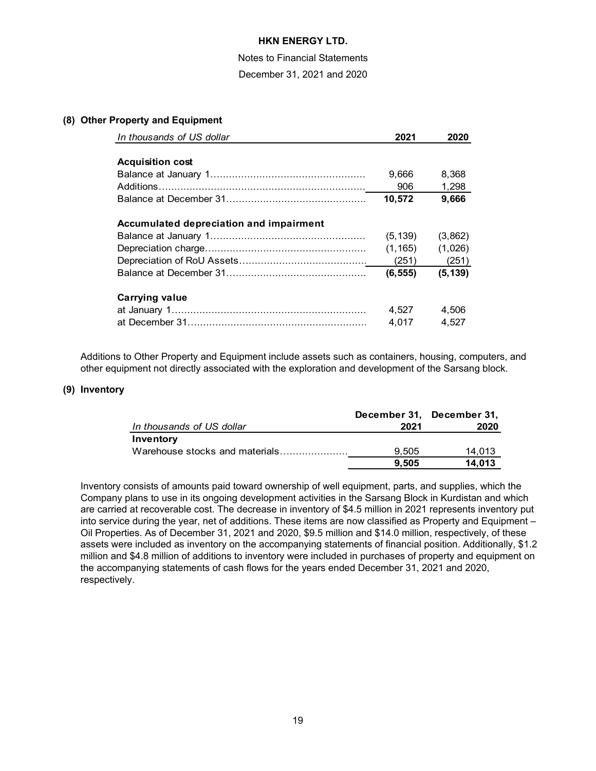Notes to Financial Statements December 31, 2021 and 2020

#### **(8) Other Property and Equipment**

| In thousands of US dollar                      | 2021     | 2020     |
|------------------------------------------------|----------|----------|
|                                                |          |          |
| <b>Acquisition cost</b>                        |          |          |
|                                                | 9,666    | 8.368    |
|                                                | 906      | 1,298    |
|                                                | 10.572   | 9.666    |
| <b>Accumulated depreciation and impairment</b> |          |          |
|                                                | (5, 139) | (3,862)  |
|                                                | (1, 165) | (1,026)  |
|                                                | (251)    | (251)    |
|                                                | (6, 555) | (5, 139) |
| <b>Carrying value</b>                          |          |          |
|                                                | 4,527    | 4,506    |
|                                                | 4.017    | 4.527    |

Additions to Other Property and Equipment include assets such as containers, housing, computers, and other equipment not directly associated with the exploration and development of the Sarsang block.

#### **(9) Inventory**

|                           |       | December 31, December 31, |
|---------------------------|-------|---------------------------|
| In thousands of US dollar | 2021  | 2020                      |
| Inventory                 |       |                           |
|                           | 9.505 | 14.013                    |
|                           | 9.505 | 14.013                    |

Inventory consists of amounts paid toward ownership of well equipment, parts, and supplies, which the Company plans to use in its ongoing development activities in the Sarsang Block in Kurdistan and which are carried at recoverable cost. The decrease in inventory of \$4.5 million in 2021 represents inventory put into service during the year, net of additions. These items are now classified as Property and Equipment – Oil Properties. As of December 31, 2021 and 2020, \$9.5 million and \$14.0 million, respectively, of these assets were included as inventory on the accompanying statements of financial position. Additionally, \$1.2 million and \$4.8 million of additions to inventory were included in purchases of property and equipment on the accompanying statements of cash flows for the years ended December 31, 2021 and 2020, respectively.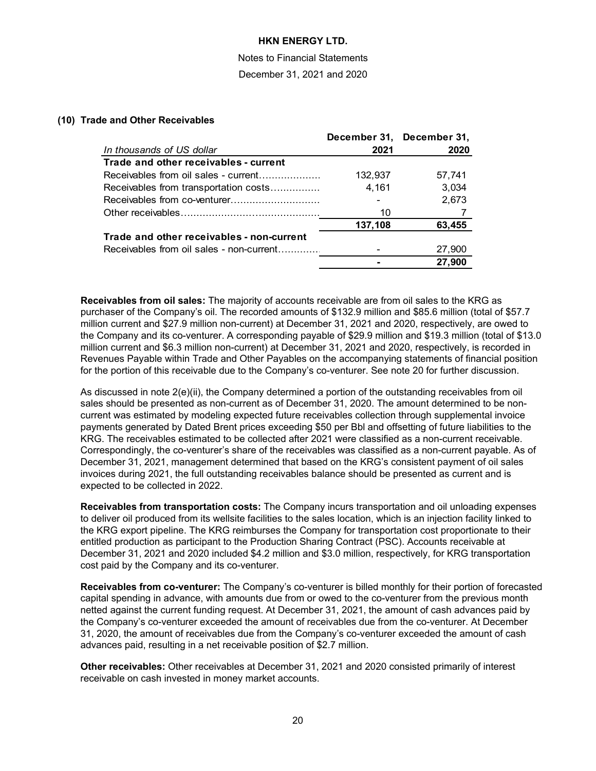Notes to Financial Statements

December 31, 2021 and 2020

#### **(10) Trade and Other Receivables**

|                                           | December 31, | December 31, |
|-------------------------------------------|--------------|--------------|
| In thousands of US dollar                 | 2021         | 2020         |
| Trade and other receivables - current     |              |              |
|                                           | 132,937      | 57,741       |
| Receivables from transportation costs     | 4.161        | 3.034        |
|                                           |              | 2,673        |
|                                           | 10           |              |
|                                           | 137,108      | 63,455       |
| Trade and other receivables - non-current |              |              |
| Receivables from oil sales - non-current  |              | 27,900       |
|                                           |              | 27,900       |

**Receivables from oil sales:** The majority of accounts receivable are from oil sales to the KRG as purchaser of the Company's oil. The recorded amounts of \$132.9 million and \$85.6 million (total of \$57.7 million current and \$27.9 million non-current) at December 31, 2021 and 2020, respectively, are owed to the Company and its co-venturer. A corresponding payable of \$29.9 million and \$19.3 million (total of \$13.0 million current and \$6.3 million non-current) at December 31, 2021 and 2020, respectively, is recorded in Revenues Payable within Trade and Other Payables on the accompanying statements of financial position for the portion of this receivable due to the Company's co-venturer. See note 20 for further discussion.

As discussed in note 2(e)(ii), the Company determined a portion of the outstanding receivables from oil sales should be presented as non-current as of December 31, 2020. The amount determined to be noncurrent was estimated by modeling expected future receivables collection through supplemental invoice payments generated by Dated Brent prices exceeding \$50 per Bbl and offsetting of future liabilities to the KRG. The receivables estimated to be collected after 2021 were classified as a non-current receivable. Correspondingly, the co-venturer's share of the receivables was classified as a non-current payable. As of December 31, 2021, management determined that based on the KRG's consistent payment of oil sales invoices during 2021, the full outstanding receivables balance should be presented as current and is expected to be collected in 2022.

**Receivables from transportation costs:** The Company incurs transportation and oil unloading expenses to deliver oil produced from its wellsite facilities to the sales location, which is an injection facility linked to the KRG export pipeline. The KRG reimburses the Company for transportation cost proportionate to their entitled production as participant to the Production Sharing Contract (PSC). Accounts receivable at December 31, 2021 and 2020 included \$4.2 million and \$3.0 million, respectively, for KRG transportation cost paid by the Company and its co-venturer.

**Receivables from co-venturer:** The Company's co-venturer is billed monthly for their portion of forecasted capital spending in advance, with amounts due from or owed to the co-venturer from the previous month netted against the current funding request. At December 31, 2021, the amount of cash advances paid by the Company's co-venturer exceeded the amount of receivables due from the co-venturer. At December 31, 2020, the amount of receivables due from the Company's co-venturer exceeded the amount of cash advances paid, resulting in a net receivable position of \$2.7 million.

**Other receivables:** Other receivables at December 31, 2021 and 2020 consisted primarily of interest receivable on cash invested in money market accounts.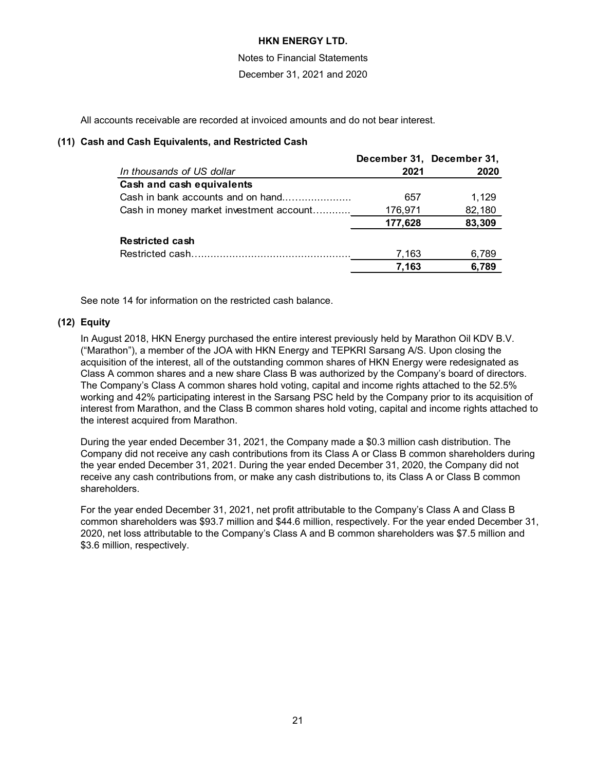Notes to Financial Statements

December 31, 2021 and 2020

All accounts receivable are recorded at invoiced amounts and do not bear interest.

## **(11) Cash and Cash Equivalents, and Restricted Cash**

|                                         |         | December 31, December 31, |
|-----------------------------------------|---------|---------------------------|
| In thousands of US dollar               | 2021    | 2020                      |
| Cash and cash equivalents               |         |                           |
| Cash in bank accounts and on hand       | 657     | 1.129                     |
| Cash in money market investment account | 176,971 | 82,180                    |
|                                         | 177,628 | 83,309                    |
| Restricted cash                         |         |                           |
|                                         | 7,163   | 6,789                     |
|                                         | 7,163   | 6,789                     |

See note 14 for information on the restricted cash balance.

## **(12) Equity**

In August 2018, HKN Energy purchased the entire interest previously held by Marathon Oil KDV B.V. ("Marathon"), a member of the JOA with HKN Energy and TEPKRI Sarsang A/S. Upon closing the acquisition of the interest, all of the outstanding common shares of HKN Energy were redesignated as Class A common shares and a new share Class B was authorized by the Company's board of directors. The Company's Class A common shares hold voting, capital and income rights attached to the 52.5% working and 42% participating interest in the Sarsang PSC held by the Company prior to its acquisition of interest from Marathon, and the Class B common shares hold voting, capital and income rights attached to the interest acquired from Marathon.

During the year ended December 31, 2021, the Company made a \$0.3 million cash distribution. The Company did not receive any cash contributions from its Class A or Class B common shareholders during the year ended December 31, 2021. During the year ended December 31, 2020, the Company did not receive any cash contributions from, or make any cash distributions to, its Class A or Class B common shareholders.

For the year ended December 31, 2021, net profit attributable to the Company's Class A and Class B common shareholders was \$93.7 million and \$44.6 million, respectively. For the year ended December 31, 2020, net loss attributable to the Company's Class A and B common shareholders was \$7.5 million and \$3.6 million, respectively.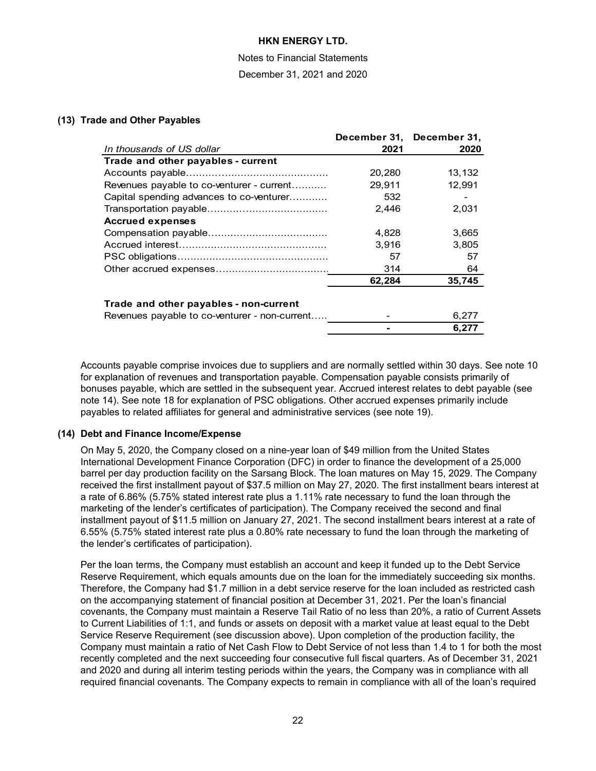## Notes to Financial Statements

December 31, 2021 and 2020

#### **(13) Trade and Other Payables**

|                                               |        | December 31, December 31, |
|-----------------------------------------------|--------|---------------------------|
| In thousands of US dollar                     | 2021   | 2020                      |
| Trade and other payables - current            |        |                           |
|                                               | 20,280 | 13,132                    |
| Revenues payable to co-venturer - current     | 29,911 | 12,991                    |
| Capital spending advances to co-venturer      | 532    |                           |
|                                               | 2,446  | 2,031                     |
| <b>Accrued expenses</b>                       |        |                           |
|                                               | 4,828  | 3.665                     |
|                                               | 3,916  | 3,805                     |
|                                               | 57     | 57                        |
|                                               | 314    | 64                        |
|                                               | 62,284 | 35,745                    |
|                                               |        |                           |
| Trade and other payables - non-current        |        |                           |
| Revenues payable to co-venturer - non-current |        | 6,277                     |
|                                               |        | 6.277                     |

Accounts payable comprise invoices due to suppliers and are normally settled within 30 days. See note 10 for explanation of revenues and transportation payable. Compensation payable consists primarily of bonuses payable, which are settled in the subsequent year. Accrued interest relates to debt payable (see note 14). See note 18 for explanation of PSC obligations. Other accrued expenses primarily include payables to related affiliates for general and administrative services (see note 19).

#### **(14) Debt and Finance Income/Expense**

On May 5, 2020, the Company closed on a nine-year loan of \$49 million from the United States International Development Finance Corporation (DFC) in order to finance the development of a 25,000 barrel per day production facility on the Sarsang Block. The loan matures on May 15, 2029. The Company received the first installment payout of \$37.5 million on May 27, 2020. The first installment bears interest at a rate of 6.86% (5.75% stated interest rate plus a 1.11% rate necessary to fund the loan through the marketing of the lender's certificates of participation). The Company received the second and final installment payout of \$11.5 million on January 27, 2021. The second installment bears interest at a rate of 6.55% (5.75% stated interest rate plus a 0.80% rate necessary to fund the loan through the marketing of the lender's certificates of participation).

Per the loan terms, the Company must establish an account and keep it funded up to the Debt Service Reserve Requirement, which equals amounts due on the loan for the immediately succeeding six months. Therefore, the Company had \$1.7 million in a debt service reserve for the loan included as restricted cash on the accompanying statement of financial position at December 31, 2021. Per the loan's financial covenants, the Company must maintain a Reserve Tail Ratio of no less than 20%, a ratio of Current Assets to Current Liabilities of 1:1, and funds or assets on deposit with a market value at least equal to the Debt Service Reserve Requirement (see discussion above). Upon completion of the production facility, the Company must maintain a ratio of Net Cash Flow to Debt Service of not less than 1.4 to 1 for both the most recently completed and the next succeeding four consecutive full fiscal quarters. As of December 31, 2021 and 2020 and during all interim testing periods within the years, the Company was in compliance with all required financial covenants. The Company expects to remain in compliance with all of the loan's required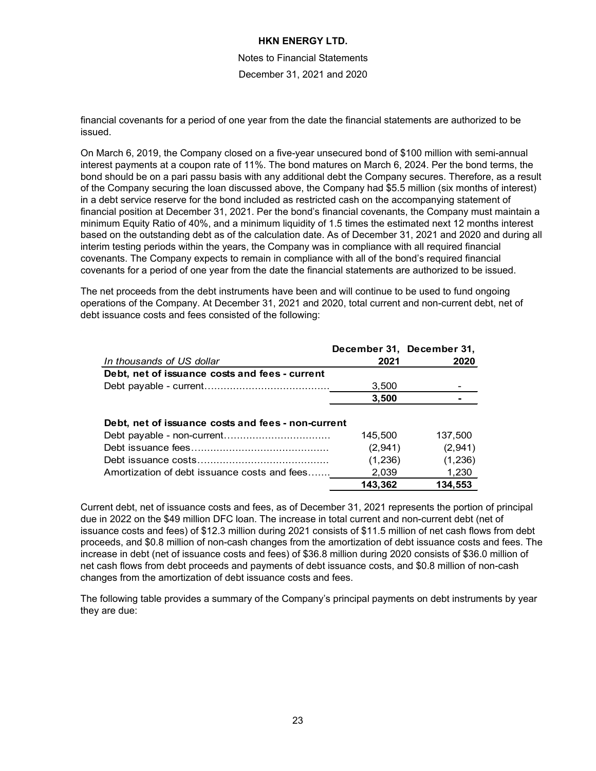Notes to Financial Statements December 31, 2021 and 2020

financial covenants for a period of one year from the date the financial statements are authorized to be issued.

On March 6, 2019, the Company closed on a five-year unsecured bond of \$100 million with semi-annual interest payments at a coupon rate of 11%. The bond matures on March 6, 2024. Per the bond terms, the bond should be on a pari passu basis with any additional debt the Company secures. Therefore, as a result of the Company securing the loan discussed above, the Company had \$5.5 million (six months of interest) in a debt service reserve for the bond included as restricted cash on the accompanying statement of financial position at December 31, 2021. Per the bond's financial covenants, the Company must maintain a minimum Equity Ratio of 40%, and a minimum liquidity of 1.5 times the estimated next 12 months interest based on the outstanding debt as of the calculation date. As of December 31, 2021 and 2020 and during all interim testing periods within the years, the Company was in compliance with all required financial covenants. The Company expects to remain in compliance with all of the bond's required financial covenants for a period of one year from the date the financial statements are authorized to be issued.

The net proceeds from the debt instruments have been and will continue to be used to fund ongoing operations of the Company. At December 31, 2021 and 2020, total current and non-current debt, net of debt issuance costs and fees consisted of the following:

|                                                                                                    | December 31, December 31,              |                                         |
|----------------------------------------------------------------------------------------------------|----------------------------------------|-----------------------------------------|
| In thousands of US dollar                                                                          | 2021                                   | 2020                                    |
| Debt, net of issuance costs and fees - current                                                     |                                        |                                         |
|                                                                                                    | 3,500                                  |                                         |
|                                                                                                    | 3,500                                  |                                         |
| Debt, net of issuance costs and fees - non-current<br>Amortization of debt issuance costs and fees | 145.500<br>(2,941)<br>(1,236)<br>2,039 | 137.500<br>(2,941)<br>(1, 236)<br>1,230 |
|                                                                                                    | 143.362                                | 134,553                                 |

Current debt, net of issuance costs and fees, as of December 31, 2021 represents the portion of principal due in 2022 on the \$49 million DFC loan. The increase in total current and non-current debt (net of issuance costs and fees) of \$12.3 million during 2021 consists of \$11.5 million of net cash flows from debt proceeds, and \$0.8 million of non-cash changes from the amortization of debt issuance costs and fees. The increase in debt (net of issuance costs and fees) of \$36.8 million during 2020 consists of \$36.0 million of net cash flows from debt proceeds and payments of debt issuance costs, and \$0.8 million of non-cash changes from the amortization of debt issuance costs and fees.

The following table provides a summary of the Company's principal payments on debt instruments by year they are due: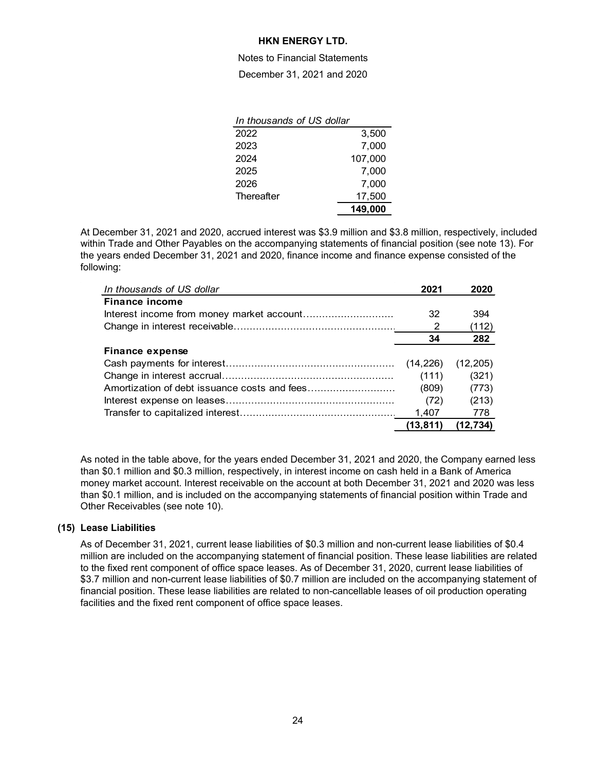Notes to Financial Statements

December 31, 2021 and 2020

|                           | 149,000 |
|---------------------------|---------|
| Thereafter                | 17,500  |
| 2026                      | 7,000   |
| 2025                      | 7,000   |
| 2024                      | 107,000 |
| 2023                      | 7,000   |
| 2022                      | 3,500   |
| In thousands of US dollar |         |

At December 31, 2021 and 2020, accrued interest was \$3.9 million and \$3.8 million, respectively, included within Trade and Other Payables on the accompanying statements of financial position (see note 13). For the years ended December 31, 2021 and 2020, finance income and finance expense consisted of the following:

| In thousands of US dollar                    | 2021      | 2020      |
|----------------------------------------------|-----------|-----------|
| <b>Finance income</b>                        |           |           |
|                                              | 32        | 394       |
|                                              | 2         | (112)     |
|                                              | 34        | 282       |
| Finance expense                              |           |           |
|                                              | (14, 226) | (12, 205) |
|                                              | (111)     | (321)     |
| Amortization of debt issuance costs and fees | (809)     | (773)     |
|                                              | (72)      | (213)     |
|                                              | 1,407     | 778       |
|                                              | (13.811)  | (12, 734) |

As noted in the table above, for the years ended December 31, 2021 and 2020, the Company earned less than \$0.1 million and \$0.3 million, respectively, in interest income on cash held in a Bank of America money market account. Interest receivable on the account at both December 31, 2021 and 2020 was less than \$0.1 million, and is included on the accompanying statements of financial position within Trade and Other Receivables (see note 10).

## **(15) Lease Liabilities**

As of December 31, 2021, current lease liabilities of \$0.3 million and non-current lease liabilities of \$0.4 million are included on the accompanying statement of financial position. These lease liabilities are related to the fixed rent component of office space leases. As of December 31, 2020, current lease liabilities of \$3.7 million and non-current lease liabilities of \$0.7 million are included on the accompanying statement of financial position. These lease liabilities are related to non-cancellable leases of oil production operating facilities and the fixed rent component of office space leases.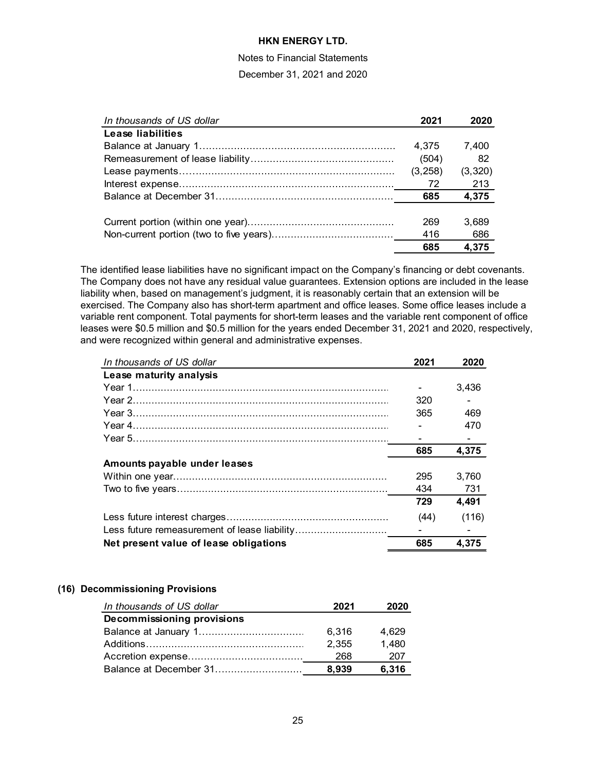## Notes to Financial Statements December 31, 2021 and 2020

| In thousands of US dollar | 2021    | 2020    |
|---------------------------|---------|---------|
| <b>Lease liabilities</b>  |         |         |
|                           | 4.375   | 7.400   |
|                           | (504)   | 82      |
|                           | (3,258) | (3,320) |
|                           | 72      | 213     |
|                           | 685     | 4,375   |
|                           |         |         |
|                           | 269     | 3.689   |
|                           | 416     | 686     |
|                           | 685     | 4.375   |

The identified lease liabilities have no significant impact on the Company's financing or debt covenants. The Company does not have any residual value guarantees. Extension options are included in the lease liability when, based on management's judgment, it is reasonably certain that an extension will be exercised. The Company also has short-term apartment and office leases. Some office leases include a variable rent component. Total payments for short-term leases and the variable rent component of office leases were \$0.5 million and \$0.5 million for the years ended December 31, 2021 and 2020, respectively, and were recognized within general and administrative expenses.

| In thousands of US dollar              | 2021 | 2020  |
|----------------------------------------|------|-------|
| Lease maturity analysis                |      |       |
|                                        |      | 3,436 |
|                                        | 320  |       |
|                                        | 365  | 469   |
|                                        |      | 470   |
|                                        |      |       |
|                                        | 685  | 4,375 |
| Amounts payable under leases           |      |       |
|                                        | 295  | 3.760 |
|                                        | 434  | 731   |
|                                        | 729  | 4,491 |
|                                        | (44) | (116) |
|                                        |      |       |
| Net present value of lease obligations | 685  | 4.375 |

#### **(16) Decommissioning Provisions**

| In thousands of US dollar         | 2021  | 2020  |
|-----------------------------------|-------|-------|
| <b>Decommissioning provisions</b> |       |       |
|                                   | 6.316 | 4.629 |
|                                   | 2.355 | 1,480 |
|                                   | 268   | 207   |
| Balance at December 31            | 8.939 | 6,316 |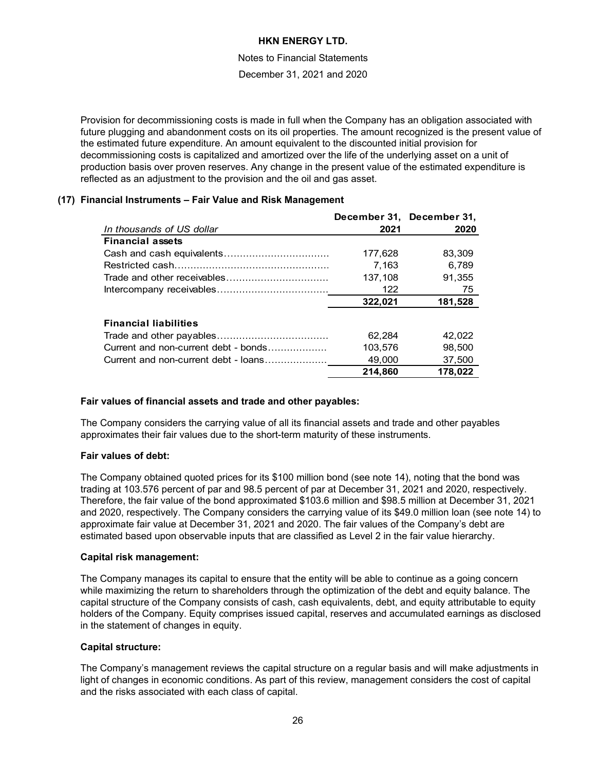Notes to Financial Statements

December 31, 2021 and 2020

Provision for decommissioning costs is made in full when the Company has an obligation associated with future plugging and abandonment costs on its oil properties. The amount recognized is the present value of the estimated future expenditure. An amount equivalent to the discounted initial provision for decommissioning costs is capitalized and amortized over the life of the underlying asset on a unit of production basis over proven reserves. Any change in the present value of the estimated expenditure is reflected as an adjustment to the provision and the oil and gas asset.

## **(17) Financial Instruments – Fair Value and Risk Management**

|                                      |         | December 31, December 31, |
|--------------------------------------|---------|---------------------------|
| In thousands of US dollar            | 2021    | 2020                      |
| <b>Financial assets</b>              |         |                           |
|                                      | 177,628 | 83.309                    |
|                                      | 7,163   | 6,789                     |
| Trade and other receivables          | 137,108 | 91.355                    |
|                                      | 122     | 75                        |
|                                      | 322,021 | 181,528                   |
| <b>Financial liabilities</b>         |         |                           |
|                                      | 62.284  | 42.022                    |
| Current and non-current debt - bonds | 103,576 | 98.500                    |
| Current and non-current debt - loans | 49.000  | 37.500                    |
|                                      | 214.860 | 178.022                   |

## **Fair values of financial assets and trade and other payables:**

The Company considers the carrying value of all its financial assets and trade and other payables approximates their fair values due to the short-term maturity of these instruments.

## **Fair values of debt:**

The Company obtained quoted prices for its \$100 million bond (see note 14), noting that the bond was trading at 103.576 percent of par and 98.5 percent of par at December 31, 2021 and 2020, respectively. Therefore, the fair value of the bond approximated \$103.6 million and \$98.5 million at December 31, 2021 and 2020, respectively. The Company considers the carrying value of its \$49.0 million loan (see note 14) to approximate fair value at December 31, 2021 and 2020. The fair values of the Company's debt are estimated based upon observable inputs that are classified as Level 2 in the fair value hierarchy.

## **Capital risk management:**

The Company manages its capital to ensure that the entity will be able to continue as a going concern while maximizing the return to shareholders through the optimization of the debt and equity balance. The capital structure of the Company consists of cash, cash equivalents, debt, and equity attributable to equity holders of the Company. Equity comprises issued capital, reserves and accumulated earnings as disclosed in the statement of changes in equity.

## **Capital structure:**

The Company's management reviews the capital structure on a regular basis and will make adjustments in light of changes in economic conditions. As part of this review, management considers the cost of capital and the risks associated with each class of capital.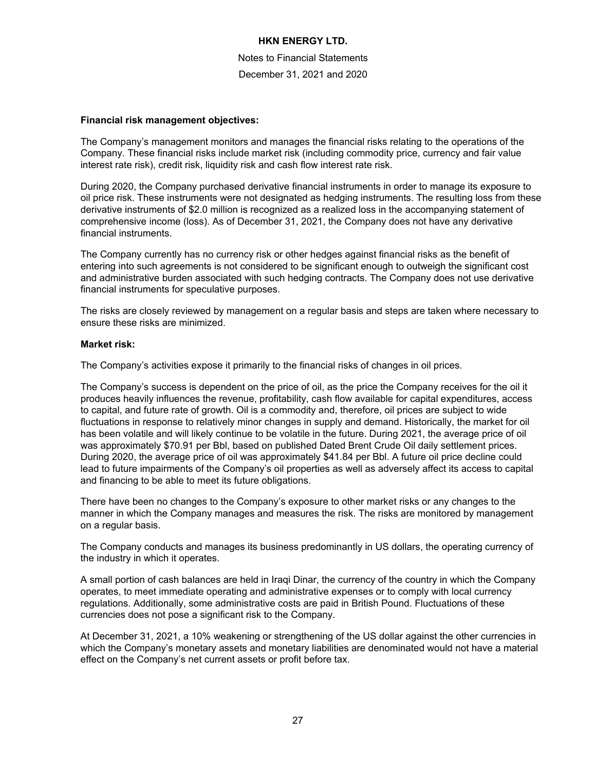Notes to Financial Statements December 31, 2021 and 2020

#### **Financial risk management objectives:**

The Company's management monitors and manages the financial risks relating to the operations of the Company. These financial risks include market risk (including commodity price, currency and fair value interest rate risk), credit risk, liquidity risk and cash flow interest rate risk.

During 2020, the Company purchased derivative financial instruments in order to manage its exposure to oil price risk. These instruments were not designated as hedging instruments. The resulting loss from these derivative instruments of \$2.0 million is recognized as a realized loss in the accompanying statement of comprehensive income (loss). As of December 31, 2021, the Company does not have any derivative financial instruments.

The Company currently has no currency risk or other hedges against financial risks as the benefit of entering into such agreements is not considered to be significant enough to outweigh the significant cost and administrative burden associated with such hedging contracts. The Company does not use derivative financial instruments for speculative purposes.

The risks are closely reviewed by management on a regular basis and steps are taken where necessary to ensure these risks are minimized.

## **Market risk:**

The Company's activities expose it primarily to the financial risks of changes in oil prices.

The Company's success is dependent on the price of oil, as the price the Company receives for the oil it produces heavily influences the revenue, profitability, cash flow available for capital expenditures, access to capital, and future rate of growth. Oil is a commodity and, therefore, oil prices are subject to wide fluctuations in response to relatively minor changes in supply and demand. Historically, the market for oil has been volatile and will likely continue to be volatile in the future. During 2021, the average price of oil was approximately \$70.91 per Bbl, based on published Dated Brent Crude Oil daily settlement prices. During 2020, the average price of oil was approximately \$41.84 per Bbl. A future oil price decline could lead to future impairments of the Company's oil properties as well as adversely affect its access to capital and financing to be able to meet its future obligations.

There have been no changes to the Company's exposure to other market risks or any changes to the manner in which the Company manages and measures the risk. The risks are monitored by management on a regular basis.

The Company conducts and manages its business predominantly in US dollars, the operating currency of the industry in which it operates.

A small portion of cash balances are held in Iraqi Dinar, the currency of the country in which the Company operates, to meet immediate operating and administrative expenses or to comply with local currency regulations. Additionally, some administrative costs are paid in British Pound. Fluctuations of these currencies does not pose a significant risk to the Company.

At December 31, 2021, a 10% weakening or strengthening of the US dollar against the other currencies in which the Company's monetary assets and monetary liabilities are denominated would not have a material effect on the Company's net current assets or profit before tax.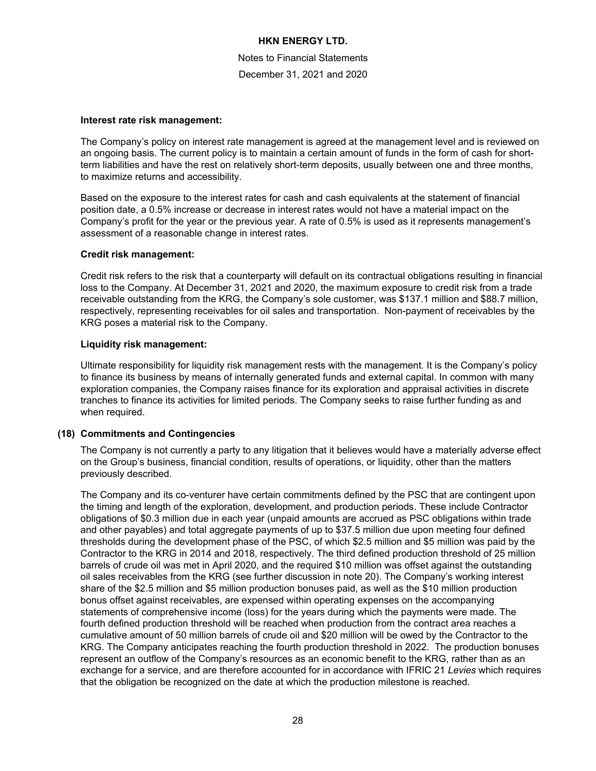Notes to Financial Statements December 31, 2021 and 2020

#### **Interest rate risk management:**

The Company's policy on interest rate management is agreed at the management level and is reviewed on an ongoing basis. The current policy is to maintain a certain amount of funds in the form of cash for shortterm liabilities and have the rest on relatively short-term deposits, usually between one and three months, to maximize returns and accessibility.

Based on the exposure to the interest rates for cash and cash equivalents at the statement of financial position date, a 0.5% increase or decrease in interest rates would not have a material impact on the Company's profit for the year or the previous year. A rate of 0.5% is used as it represents management's assessment of a reasonable change in interest rates.

#### **Credit risk management:**

Credit risk refers to the risk that a counterparty will default on its contractual obligations resulting in financial loss to the Company. At December 31, 2021 and 2020, the maximum exposure to credit risk from a trade receivable outstanding from the KRG, the Company's sole customer, was \$137.1 million and \$88.7 million, respectively, representing receivables for oil sales and transportation. Non-payment of receivables by the KRG poses a material risk to the Company.

#### **Liquidity risk management:**

Ultimate responsibility for liquidity risk management rests with the management. It is the Company's policy to finance its business by means of internally generated funds and external capital. In common with many exploration companies, the Company raises finance for its exploration and appraisal activities in discrete tranches to finance its activities for limited periods. The Company seeks to raise further funding as and when required.

#### **(18) Commitments and Contingencies**

The Company is not currently a party to any litigation that it believes would have a materially adverse effect on the Group's business, financial condition, results of operations, or liquidity, other than the matters previously described.

The Company and its co-venturer have certain commitments defined by the PSC that are contingent upon the timing and length of the exploration, development, and production periods. These include Contractor obligations of \$0.3 million due in each year (unpaid amounts are accrued as PSC obligations within trade and other payables) and total aggregate payments of up to \$37.5 million due upon meeting four defined thresholds during the development phase of the PSC, of which \$2.5 million and \$5 million was paid by the Contractor to the KRG in 2014 and 2018, respectively. The third defined production threshold of 25 million barrels of crude oil was met in April 2020, and the required \$10 million was offset against the outstanding oil sales receivables from the KRG (see further discussion in note 20). The Company's working interest share of the \$2.5 million and \$5 million production bonuses paid, as well as the \$10 million production bonus offset against receivables, are expensed within operating expenses on the accompanying statements of comprehensive income (loss) for the years during which the payments were made. The fourth defined production threshold will be reached when production from the contract area reaches a cumulative amount of 50 million barrels of crude oil and \$20 million will be owed by the Contractor to the KRG. The Company anticipates reaching the fourth production threshold in 2022. The production bonuses represent an outflow of the Company's resources as an economic benefit to the KRG, rather than as an exchange for a service, and are therefore accounted for in accordance with IFRIC 21 *Levies* which requires that the obligation be recognized on the date at which the production milestone is reached.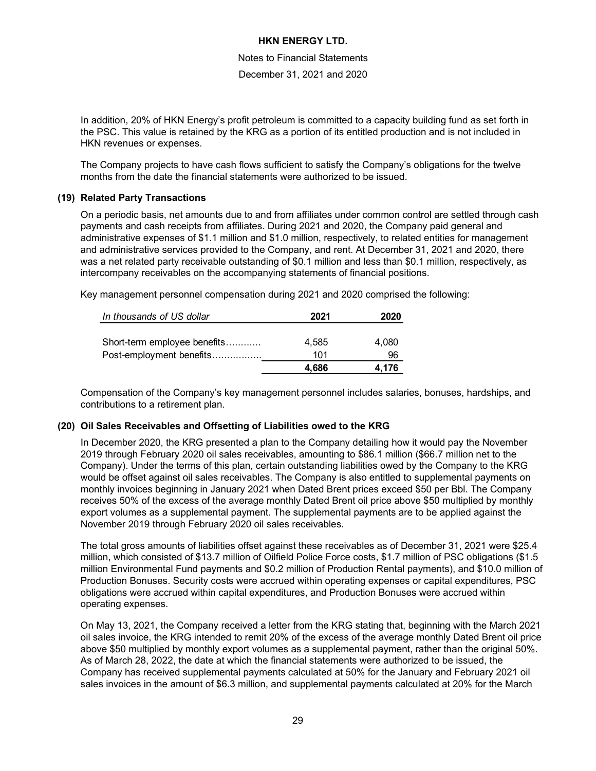Notes to Financial Statements December 31, 2021 and 2020

In addition, 20% of HKN Energy's profit petroleum is committed to a capacity building fund as set forth in the PSC. This value is retained by the KRG as a portion of its entitled production and is not included in HKN revenues or expenses.

The Company projects to have cash flows sufficient to satisfy the Company's obligations for the twelve months from the date the financial statements were authorized to be issued.

## **(19) Related Party Transactions**

On a periodic basis, net amounts due to and from affiliates under common control are settled through cash payments and cash receipts from affiliates. During 2021 and 2020, the Company paid general and administrative expenses of \$1.1 million and \$1.0 million, respectively, to related entities for management and administrative services provided to the Company, and rent. At December 31, 2021 and 2020, there was a net related party receivable outstanding of \$0.1 million and less than \$0.1 million, respectively, as intercompany receivables on the accompanying statements of financial positions.

Key management personnel compensation during 2021 and 2020 comprised the following:

| In thousands of US dollar    | 2021  | 2020  |
|------------------------------|-------|-------|
|                              |       |       |
| Short-term employee benefits | 4.585 | 4.080 |
| Post-employment benefits     | 101   | 96    |
|                              | 4.686 | 4.176 |

Compensation of the Company's key management personnel includes salaries, bonuses, hardships, and contributions to a retirement plan.

#### **(20) Oil Sales Receivables and Offsetting of Liabilities owed to the KRG**

In December 2020, the KRG presented a plan to the Company detailing how it would pay the November 2019 through February 2020 oil sales receivables, amounting to \$86.1 million (\$66.7 million net to the Company). Under the terms of this plan, certain outstanding liabilities owed by the Company to the KRG would be offset against oil sales receivables. The Company is also entitled to supplemental payments on monthly invoices beginning in January 2021 when Dated Brent prices exceed \$50 per Bbl. The Company receives 50% of the excess of the average monthly Dated Brent oil price above \$50 multiplied by monthly export volumes as a supplemental payment. The supplemental payments are to be applied against the November 2019 through February 2020 oil sales receivables.

The total gross amounts of liabilities offset against these receivables as of December 31, 2021 were \$25.4 million, which consisted of \$13.7 million of Oilfield Police Force costs, \$1.7 million of PSC obligations (\$1.5 million Environmental Fund payments and \$0.2 million of Production Rental payments), and \$10.0 million of Production Bonuses. Security costs were accrued within operating expenses or capital expenditures, PSC obligations were accrued within capital expenditures, and Production Bonuses were accrued within operating expenses.

On May 13, 2021, the Company received a letter from the KRG stating that, beginning with the March 2021 oil sales invoice, the KRG intended to remit 20% of the excess of the average monthly Dated Brent oil price above \$50 multiplied by monthly export volumes as a supplemental payment, rather than the original 50%. As of March 28, 2022, the date at which the financial statements were authorized to be issued, the Company has received supplemental payments calculated at 50% for the January and February 2021 oil sales invoices in the amount of \$6.3 million, and supplemental payments calculated at 20% for the March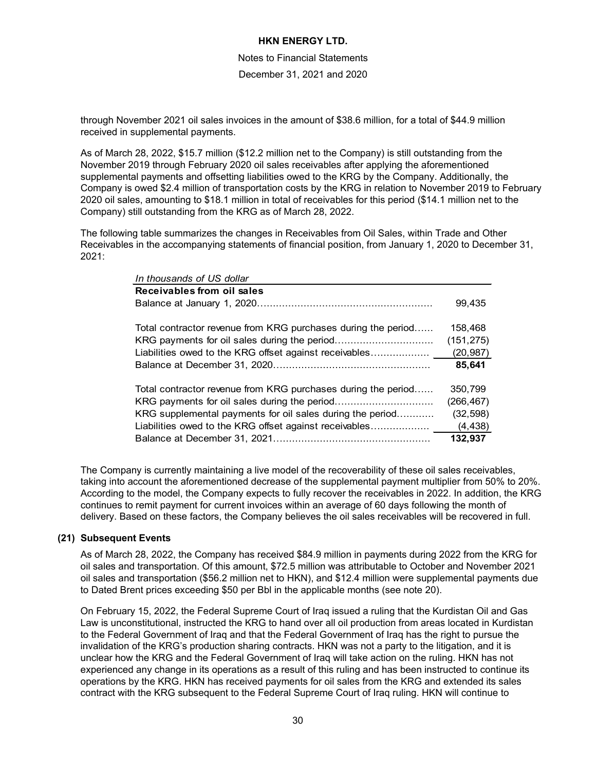Notes to Financial Statements December 31, 2021 and 2020

through November 2021 oil sales invoices in the amount of \$38.6 million, for a total of \$44.9 million received in supplemental payments.

As of March 28, 2022, \$15.7 million (\$12.2 million net to the Company) is still outstanding from the November 2019 through February 2020 oil sales receivables after applying the aforementioned supplemental payments and offsetting liabilities owed to the KRG by the Company. Additionally, the Company is owed \$2.4 million of transportation costs by the KRG in relation to November 2019 to February 2020 oil sales, amounting to \$18.1 million in total of receivables for this period (\$14.1 million net to the Company) still outstanding from the KRG as of March 28, 2022.

The following table summarizes the changes in Receivables from Oil Sales, within Trade and Other Receivables in the accompanying statements of financial position, from January 1, 2020 to December 31, 2021:

| In thousands of US dollar                                     |            |
|---------------------------------------------------------------|------------|
| Receivables from oil sales                                    |            |
|                                                               | 99.435     |
| Total contractor revenue from KRG purchases during the period | 158,468    |
|                                                               | (151, 275) |
| Liabilities owed to the KRG offset against receivables        | (20, 987)  |
|                                                               |            |
|                                                               | 85.641     |
| Total contractor revenue from KRG purchases during the period | 350.799    |
|                                                               | (266, 467) |
| KRG supplemental payments for oil sales during the period     | (32, 598)  |
| Liabilities owed to the KRG offset against receivables        | (4, 438)   |

The Company is currently maintaining a live model of the recoverability of these oil sales receivables, taking into account the aforementioned decrease of the supplemental payment multiplier from 50% to 20%. According to the model, the Company expects to fully recover the receivables in 2022. In addition, the KRG continues to remit payment for current invoices within an average of 60 days following the month of delivery. Based on these factors, the Company believes the oil sales receivables will be recovered in full.

#### **(21) Subsequent Events**

As of March 28, 2022, the Company has received \$84.9 million in payments during 2022 from the KRG for oil sales and transportation. Of this amount, \$72.5 million was attributable to October and November 2021 oil sales and transportation (\$56.2 million net to HKN), and \$12.4 million were supplemental payments due to Dated Brent prices exceeding \$50 per Bbl in the applicable months (see note 20).

On February 15, 2022, the Federal Supreme Court of Iraq issued a ruling that the Kurdistan Oil and Gas Law is unconstitutional, instructed the KRG to hand over all oil production from areas located in Kurdistan to the Federal Government of Iraq and that the Federal Government of Iraq has the right to pursue the invalidation of the KRG's production sharing contracts. HKN was not a party to the litigation, and it is unclear how the KRG and the Federal Government of Iraq will take action on the ruling. HKN has not experienced any change in its operations as a result of this ruling and has been instructed to continue its operations by the KRG. HKN has received payments for oil sales from the KRG and extended its sales contract with the KRG subsequent to the Federal Supreme Court of Iraq ruling. HKN will continue to